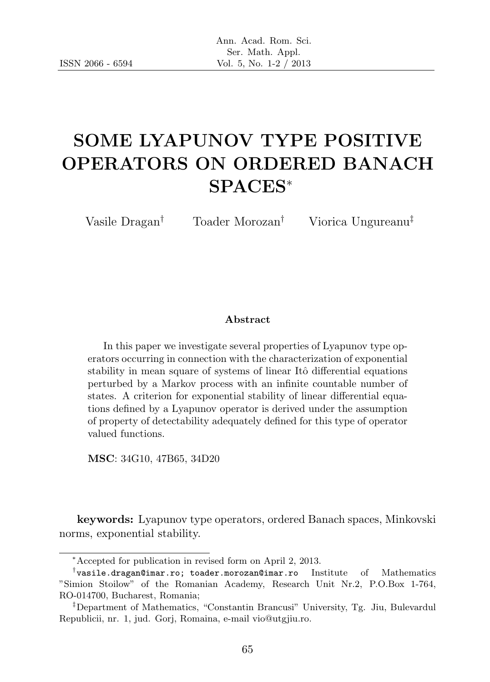# SOME LYAPUNOV TYPE POSITIVE OPERATORS ON ORDERED BANACH SPACES<sup>∗</sup>

Vasile Dragan† Toader Morozan† Viorica Ungureanu‡

#### Abstract

In this paper we investigate several properties of Lyapunov type operators occurring in connection with the characterization of exponential stability in mean square of systems of linear Itô differential equations perturbed by a Markov process with an infinite countable number of states. A criterion for exponential stability of linear differential equations defined by a Lyapunov operator is derived under the assumption of property of detectability adequately defined for this type of operator valued functions.

MSC: 34G10, 47B65, 34D20

keywords: Lyapunov type operators, ordered Banach spaces, Minkovski norms, exponential stability.

<sup>∗</sup>Accepted for publication in revised form on April 2, 2013.

<sup>†</sup> vasile.dragan@imar.ro; toader.morozan@imar.ro Institute of Mathematics "Simion Stoilow" of the Romanian Academy, Research Unit Nr.2, P.O.Box 1-764, RO-014700, Bucharest, Romania;

<sup>‡</sup>Department of Mathematics, "Constantin Brancusi" University, Tg. Jiu, Bulevardul Republicii, nr. 1, jud. Gorj, Romaina, e-mail vio@utgjiu.ro.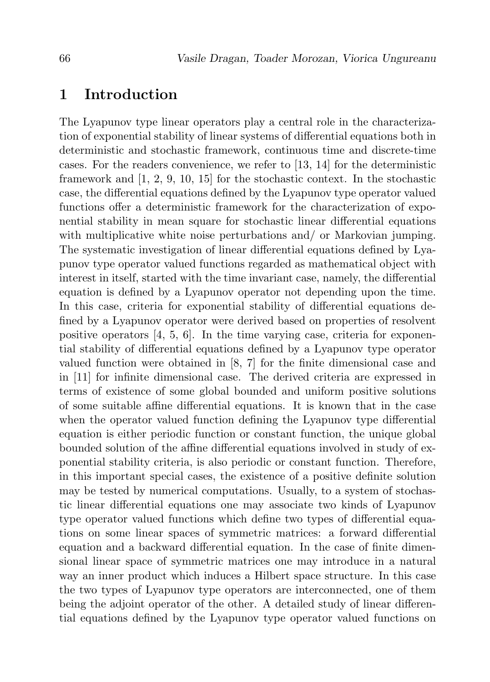### 1 Introduction

The Lyapunov type linear operators play a central role in the characterization of exponential stability of linear systems of differential equations both in deterministic and stochastic framework, continuous time and discrete-time cases. For the readers convenience, we refer to [13, 14] for the deterministic framework and [1, 2, 9, 10, 15] for the stochastic context. In the stochastic case, the differential equations defined by the Lyapunov type operator valued functions offer a deterministic framework for the characterization of exponential stability in mean square for stochastic linear differential equations with multiplicative white noise perturbations and/ or Markovian jumping. The systematic investigation of linear differential equations defined by Lyapunov type operator valued functions regarded as mathematical object with interest in itself, started with the time invariant case, namely, the differential equation is defined by a Lyapunov operator not depending upon the time. In this case, criteria for exponential stability of differential equations defined by a Lyapunov operator were derived based on properties of resolvent positive operators  $[4, 5, 6]$ . In the time varying case, criteria for exponential stability of differential equations defined by a Lyapunov type operator valued function were obtained in [8, 7] for the finite dimensional case and in [11] for infinite dimensional case. The derived criteria are expressed in terms of existence of some global bounded and uniform positive solutions of some suitable affine differential equations. It is known that in the case when the operator valued function defining the Lyapunov type differential equation is either periodic function or constant function, the unique global bounded solution of the affine differential equations involved in study of exponential stability criteria, is also periodic or constant function. Therefore, in this important special cases, the existence of a positive definite solution may be tested by numerical computations. Usually, to a system of stochastic linear differential equations one may associate two kinds of Lyapunov type operator valued functions which define two types of differential equations on some linear spaces of symmetric matrices: a forward differential equation and a backward differential equation. In the case of finite dimensional linear space of symmetric matrices one may introduce in a natural way an inner product which induces a Hilbert space structure. In this case the two types of Lyapunov type operators are interconnected, one of them being the adjoint operator of the other. A detailed study of linear differential equations defined by the Lyapunov type operator valued functions on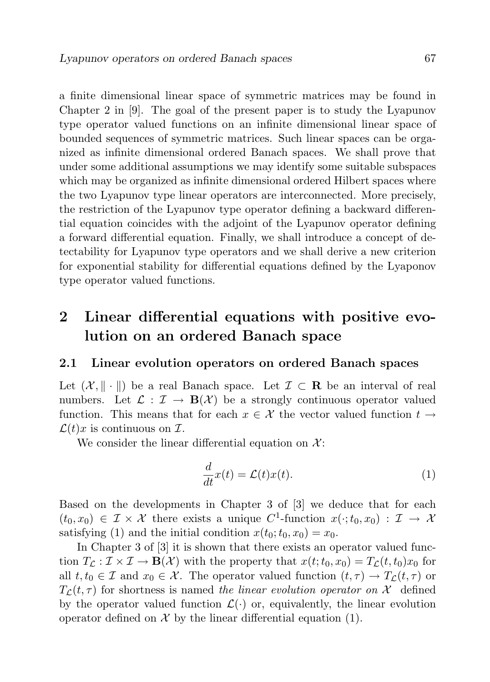a finite dimensional linear space of symmetric matrices may be found in Chapter 2 in [9]. The goal of the present paper is to study the Lyapunov type operator valued functions on an infinite dimensional linear space of bounded sequences of symmetric matrices. Such linear spaces can be organized as infinite dimensional ordered Banach spaces. We shall prove that under some additional assumptions we may identify some suitable subspaces which may be organized as infinite dimensional ordered Hilbert spaces where the two Lyapunov type linear operators are interconnected. More precisely, the restriction of the Lyapunov type operator defining a backward differential equation coincides with the adjoint of the Lyapunov operator defining a forward differential equation. Finally, we shall introduce a concept of detectability for Lyapunov type operators and we shall derive a new criterion for exponential stability for differential equations defined by the Lyaponov type operator valued functions.

# 2 Linear differential equations with positive evolution on an ordered Banach space

#### 2.1 Linear evolution operators on ordered Banach spaces

Let  $(\mathcal{X}, \|\cdot\|)$  be a real Banach space. Let  $\mathcal{I} \subset \mathbf{R}$  be an interval of real numbers. Let  $\mathcal{L} : \mathcal{I} \to \mathbf{B}(\mathcal{X})$  be a strongly continuous operator valued function. This means that for each  $x \in \mathcal{X}$  the vector valued function  $t \to$  $\mathcal{L}(t)x$  is continuous on  $\mathcal{I}$ .

We consider the linear differential equation on  $\mathcal{X}$ :

$$
\frac{d}{dt}x(t) = \mathcal{L}(t)x(t).
$$
\n(1)

Based on the developments in Chapter 3 of [3] we deduce that for each  $(t_0, x_0) \in \mathcal{I} \times \mathcal{X}$  there exists a unique C<sup>1</sup>-function  $x(\cdot; t_0, x_0) : \mathcal{I} \to \mathcal{X}$ satisfying (1) and the initial condition  $x(t_0; t_0, x_0) = x_0$ .

In Chapter 3 of [3] it is shown that there exists an operator valued function  $T_c : \mathcal{I} \times \mathcal{I} \to \mathbf{B}(\mathcal{X})$  with the property that  $x(t;t_0,x_0) = T_c(t,t_0)x_0$  for all  $t, t_0 \in \mathcal{I}$  and  $x_0 \in \mathcal{X}$ . The operator valued function  $(t, \tau) \to T_{\mathcal{L}}(t, \tau)$  or  $T_{\mathcal{L}}(t, \tau)$  for shortness is named the linear evolution operator on X defined by the operator valued function  $\mathcal{L}(\cdot)$  or, equivalently, the linear evolution operator defined on  $\mathcal X$  by the linear differential equation (1).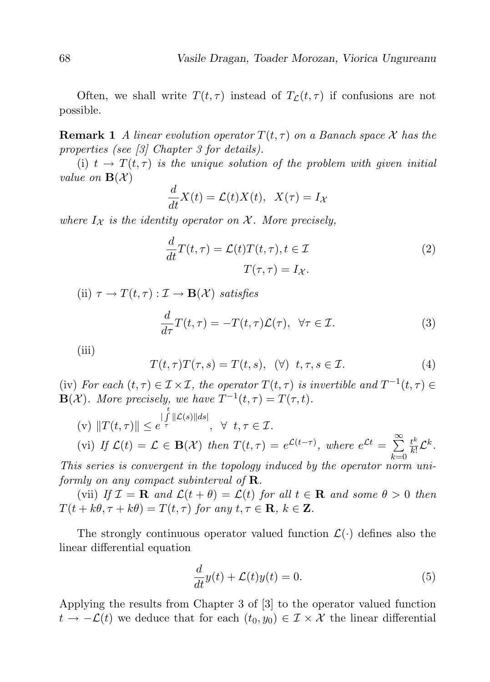Often, we shall write  $T(t, \tau)$  instead of  $T_{\mathcal{L}}(t, \tau)$  if confusions are not possible.

**Remark 1** A linear evolution operator  $T(t, \tau)$  on a Banach space X has the properties (see [3] Chapter 3 for details).

(i)  $t \to T(t, \tau)$  is the unique solution of the problem with given initial value on  $\mathbf{B}(\mathcal{X})$ 

$$
\frac{d}{dt}X(t) = \mathcal{L}(t)X(t), \quad X(\tau) = I_X
$$

where  $I_{\mathcal{X}}$  is the identity operator on  $\mathcal{X}$ . More precisely,

$$
\frac{d}{dt}T(t,\tau) = \mathcal{L}(t)T(t,\tau), t \in \mathcal{I}
$$

$$
T(\tau,\tau) = I_{\mathcal{X}}.
$$

$$
(2)
$$

(ii)  $\tau \to T(t,\tau): \mathcal{I} \to \mathbf{B}(\mathcal{X})$  satisfies

$$
\frac{d}{d\tau}T(t,\tau) = -T(t,\tau)\mathcal{L}(\tau), \ \forall \tau \in \mathcal{I}.\tag{3}
$$

(iii)

$$
T(t,\tau)T(\tau,s) = T(t,s), \quad (\forall) \quad t,\tau,s \in \mathcal{I}.\tag{4}
$$

(iv) For each  $(t, \tau) \in \mathcal{I} \times \mathcal{I}$ , the operator  $T(t, \tau)$  is invertible and  $T^{-1}(t, \tau) \in$  $\mathbf{B}(\mathcal{X})$ . More precisely, we have  $T^{-1}(t,\tau) = T(\tau,t)$ .

(v) 
$$
||T(t,\tau)|| \leq e^{\int_{\tau}^{t} ||\mathcal{L}(s)||ds|}
$$
,  $\forall$   $t, \tau \in \mathcal{I}$ .  
\n(vi) If  $\mathcal{L}(t) = \mathcal{L} \in \mathbf{B}(\mathcal{X})$  then  $T(t,\tau) = e^{\mathcal{L}(t-\tau)}$ , where  $e^{\mathcal{L}t} = \sum_{k=0}^{\infty} \frac{t^k}{k!} \mathcal{L}^k$ .

This series is convergent in the topology induced by the operator norm uniformly on any compact subinterval of  $\bf R$ .

(vii) If  $\mathcal{I} = \mathbf{R}$  and  $\mathcal{L}(t + \theta) = \mathcal{L}(t)$  for all  $t \in \mathbf{R}$  and some  $\theta > 0$  then  $T(t + k\theta, \tau + k\theta) = T(t, \tau)$  for any  $t, \tau \in \mathbf{R}, k \in \mathbf{Z}$ .

The strongly continuous operator valued function  $\mathcal{L}(\cdot)$  defines also the linear differential equation

$$
\frac{d}{dt}y(t) + \mathcal{L}(t)y(t) = 0.
$$
\n(5)

Applying the results from Chapter 3 of [3] to the operator valued function  $t \to -\mathcal{L}(t)$  we deduce that for each  $(t_0, y_0) \in \mathcal{I} \times \mathcal{X}$  the linear differential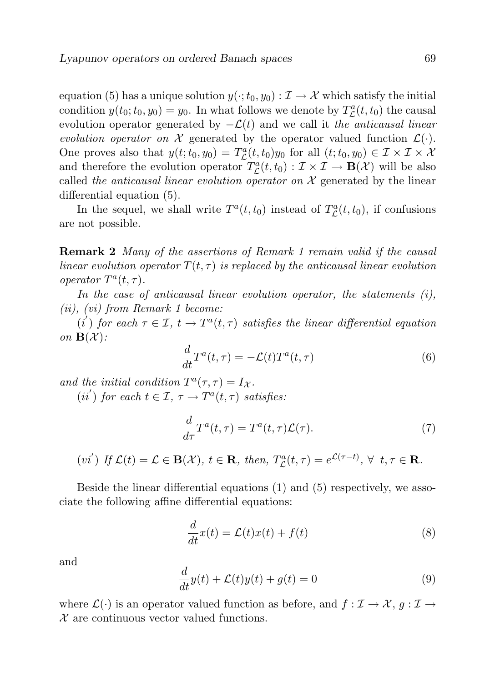equation (5) has a unique solution  $y(\cdot;t_0,y_0): \mathcal{I} \to \mathcal{X}$  which satisfy the initial condition  $y(t_0; t_0, y_0) = y_0$ . In what follows we denote by  $T^a_{\mathcal{L}}(t, t_0)$  the causal evolution operator generated by  $-\mathcal{L}(t)$  and we call it the anticausal linear evolution operator on X generated by the operator valued function  $\mathcal{L}(\cdot)$ . One proves also that  $y(t; t_0, y_0) = T^a_{\mathcal{L}}(t, t_0) y_0$  for all  $(t; t_0, y_0) \in \mathcal{I} \times \mathcal{I} \times \mathcal{X}$ and therefore the evolution operator  $T_{\mathcal{L}}^a(t, t_0) : \mathcal{I} \times \mathcal{I} \to \mathbf{B}(\mathcal{X})$  will be also called the anticausal linear evolution operator on  $\mathcal X$  generated by the linear differential equation (5).

In the sequel, we shall write  $T^a(t, t_0)$  instead of  $T^a_{\mathcal{L}}(t, t_0)$ , if confusions are not possible.

**Remark 2** Many of the assertions of Remark 1 remain valid if the causal linear evolution operator  $T(t, \tau)$  is replaced by the anticausal linear evolution operator  $T^a(t,\tau)$ .

In the case of anticausal linear evolution operator, the statements  $(i)$ , (ii), (vi) from Remark 1 become:

 $(i')$  for each  $\tau \in \mathcal{I}, t \to T^a(t, \tau)$  satisfies the linear differential equation on  $\mathbf{B}(\mathcal{X})$ :

$$
\frac{d}{dt}T^{a}(t,\tau) = -\mathcal{L}(t)T^{a}(t,\tau)
$$
\n(6)

and the initial condition  $T^a(\tau, \tau) = I_{\mathcal{X}}$ .

(ii') for each  $t \in \mathcal{I}, \tau \to T^a(t,\tau)$  satisfies:

$$
\frac{d}{d\tau}T^{a}(t,\tau) = T^{a}(t,\tau)\mathcal{L}(\tau). \tag{7}
$$

 $(vi')$  If  $\mathcal{L}(t) = \mathcal{L} \in \mathbf{B}(\mathcal{X}), t \in \mathbf{R}$ , then,  $T_{\mathcal{L}}^a(t, \tau) = e^{\mathcal{L}(\tau - t)}, \forall t, \tau \in \mathbf{R}$ .

Beside the linear differential equations (1) and (5) respectively, we associate the following affine differential equations:

$$
\frac{d}{dt}x(t) = \mathcal{L}(t)x(t) + f(t)
$$
\n(8)

and

$$
\frac{d}{dt}y(t) + \mathcal{L}(t)y(t) + g(t) = 0
$$
\n(9)

where  $\mathcal{L}(\cdot)$  is an operator valued function as before, and  $f: \mathcal{I} \to \mathcal{X}, g: \mathcal{I} \to$  $\mathcal X$  are continuous vector valued functions.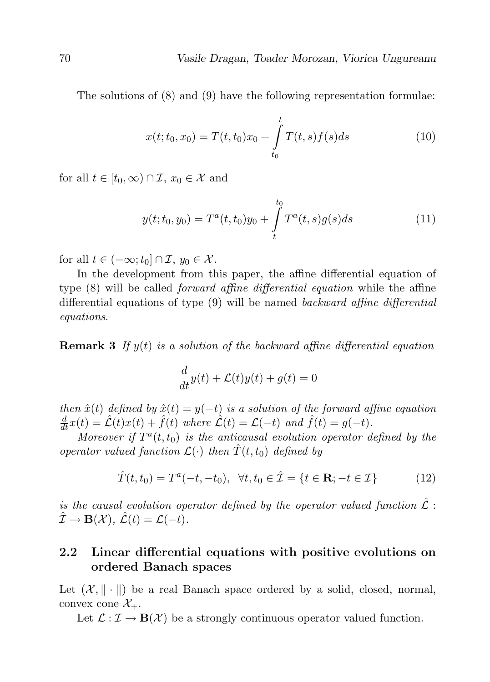The solutions of (8) and (9) have the following representation formulae:

$$
x(t; t_0, x_0) = T(t, t_0)x_0 + \int_{t_0}^t T(t, s)f(s)ds
$$
 (10)

for all  $t \in [t_0, \infty) \cap \mathcal{I}, x_0 \in \mathcal{X}$  and

$$
y(t; t_0, y_0) = T^a(t, t_0)y_0 + \int\limits_t^{t_0} T^a(t, s)g(s)ds
$$
 (11)

for all  $t \in (-\infty; t_0] \cap \mathcal{I}, y_0 \in \mathcal{X}$ .

In the development from this paper, the affine differential equation of type (8) will be called forward affine differential equation while the affine differential equations of type (9) will be named backward affine differential equations.

**Remark 3** If  $y(t)$  is a solution of the backward affine differential equation

$$
\frac{d}{dt}y(t) + \mathcal{L}(t)y(t) + g(t) = 0
$$

then  $\hat{x}(t)$  defined by  $\hat{x}(t) = y(-t)$  is a solution of the forward affine equation  $\frac{d}{dt}x(t) = \hat{\mathcal{L}}(t)x(t) + \hat{f}(t)$  where  $\hat{\mathcal{L}}(t) = \mathcal{L}(-t)$  and  $\hat{f}(t) = g(-t)$ .

Moreover if  $T^a(t,t_0)$  is the anticausal evolution operator defined by the operator valued function  $\mathcal{L}(\cdot)$  then  $\hat{T}(t,t_0)$  defined by

$$
\hat{T}(t, t_0) = T^a(-t, -t_0), \ \forall t, t_0 \in \hat{\mathcal{I}} = \{t \in \mathbf{R}; -t \in \mathcal{I}\}
$$
 (12)

is the causal evolution operator defined by the operator valued function  $\hat{\mathcal{L}}$ :  $\hat{\mathcal{I}} \to \mathbf{B}(\mathcal{X}), \ \hat{\mathcal{L}}(t) = \mathcal{L}(-t).$ 

### 2.2 Linear differential equations with positive evolutions on ordered Banach spaces

Let  $(\mathcal{X}, \|\cdot\|)$  be a real Banach space ordered by a solid, closed, normal, convex cone  $\mathcal{X}_{+}$ .

Let  $\mathcal{L} : \mathcal{I} \to \mathbf{B}(\mathcal{X})$  be a strongly continuous operator valued function.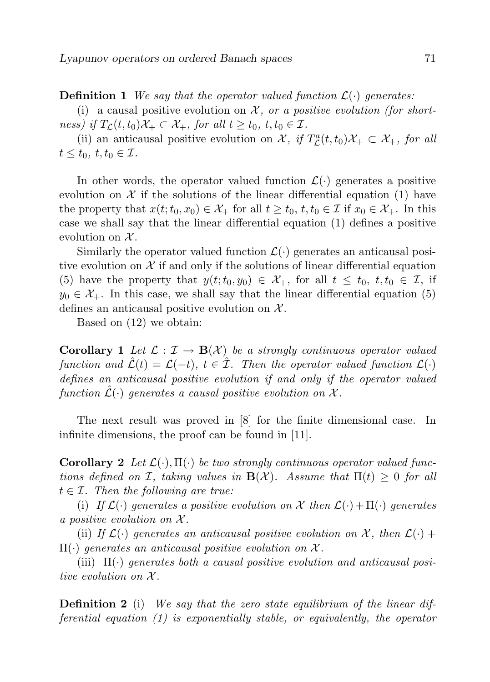**Definition 1** We say that the operator valued function  $\mathcal{L}(\cdot)$  generates:

(i) a causal positive evolution on  $\mathcal{X}$ , or a positive evolution (for shortness) if  $T_{\mathcal{L}}(t, t_0)\mathcal{X}_+ \subset \mathcal{X}_+$ , for all  $t \geq t_0, t, t_0 \in \mathcal{I}$ .

(ii) an anticausal positive evolution on  $\mathcal{X}$ , if  $T_{\mathcal{L}}^a(t,t_0)\mathcal{X}_+ \subset \mathcal{X}_+$ , for all  $t \leq t_0, t, t_0 \in \mathcal{I}.$ 

In other words, the operator valued function  $\mathcal{L}(\cdot)$  generates a positive evolution on  $\mathcal X$  if the solutions of the linear differential equation (1) have the property that  $x(t; t_0, x_0) \in \mathcal{X}_+$  for all  $t \geq t_0, t, t_0 \in \mathcal{I}$  if  $x_0 \in \mathcal{X}_+$ . In this case we shall say that the linear differential equation (1) defines a positive evolution on  $\mathcal{X}$ .

Similarly the operator valued function  $\mathcal{L}(\cdot)$  generates an anticausal positive evolution on  $\mathcal X$  if and only if the solutions of linear differential equation (5) have the property that  $y(t; t_0, y_0) \in \mathcal{X}_+$ , for all  $t \leq t_0, t, t_0 \in \mathcal{I}$ , if  $y_0 \in \mathcal{X}_+$ . In this case, we shall say that the linear differential equation (5) defines an anticausal positive evolution on  $\mathcal{X}$ .

Based on (12) we obtain:

**Corollary 1** Let  $\mathcal{L} : \mathcal{I} \to \mathbf{B}(\mathcal{X})$  be a strongly continuous operator valued function and  $\mathcal{L}(t) = \mathcal{L}(-t)$ ,  $t \in \mathcal{I}$ . Then the operator valued function  $\mathcal{L}(\cdot)$ defines an anticausal positive evolution if and only if the operator valued function  $\hat{\mathcal{L}}(\cdot)$  generates a causal positive evolution on X.

The next result was proved in [8] for the finite dimensional case. In infinite dimensions, the proof can be found in [11].

**Corollary 2** Let  $\mathcal{L}(\cdot), \Pi(\cdot)$  be two strongly continuous operator valued functions defined on I, taking values in  $\mathbf{B}(\mathcal{X})$ . Assume that  $\Pi(t) > 0$  for all  $t \in \mathcal{I}$ . Then the following are true:

(i) If  $\mathcal{L}(\cdot)$  generates a positive evolution on X then  $\mathcal{L}(\cdot) + \Pi(\cdot)$  generates a positive evolution on  $\mathcal{X}$ .

(ii) If  $\mathcal{L}(\cdot)$  generates an anticausal positive evolution on X, then  $\mathcal{L}(\cdot)$  +  $\Pi(\cdot)$  generates an anticausal positive evolution on X.

(iii)  $\Pi(\cdot)$  generates both a causal positive evolution and anticausal positive evolution on  $\mathcal{X}$ .

**Definition 2** (i) We say that the zero state equilibrium of the linear differential equation (1) is exponentially stable, or equivalently, the operator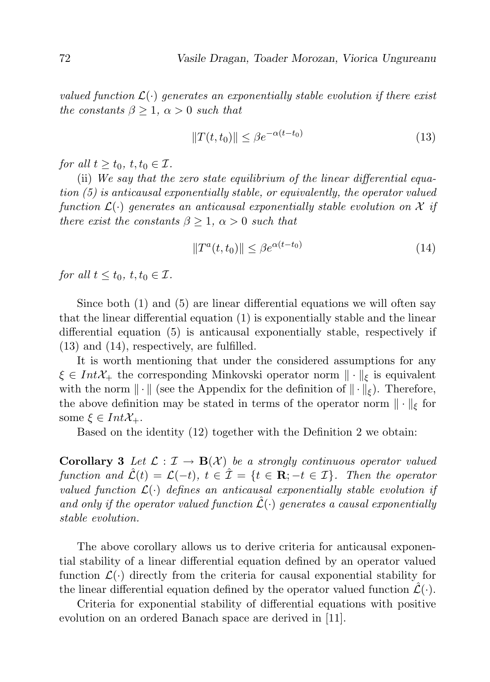valued function  $\mathcal{L}(\cdot)$  generates an exponentially stable evolution if there exist the constants  $\beta \geq 1$ ,  $\alpha > 0$  such that

$$
||T(t, t_0)|| \le \beta e^{-\alpha(t - t_0)}\tag{13}
$$

for all  $t \geq t_0, t, t_0 \in \mathcal{I}$ .

(ii) We say that the zero state equilibrium of the linear differential equation (5) is anticausal exponentially stable, or equivalently, the operator valued function  $\mathcal{L}(\cdot)$  generates an anticausal exponentially stable evolution on X if there exist the constants  $\beta \geq 1$ ,  $\alpha > 0$  such that

$$
||T^{a}(t,t_{0})|| \leq \beta e^{\alpha(t-t_{0})}
$$
\n(14)

for all  $t \leq t_0, t, t_0 \in \mathcal{I}$ .

Since both (1) and (5) are linear differential equations we will often say that the linear differential equation (1) is exponentially stable and the linear differential equation (5) is anticausal exponentially stable, respectively if (13) and (14), respectively, are fulfilled.

It is worth mentioning that under the considered assumptions for any  $\xi \in Int\mathcal{X}_+$  the corresponding Minkovski operator norm  $\|\cdot\|_F$  is equivalent with the norm  $\|\cdot\|$  (see the Appendix for the definition of  $\|\cdot\|_{\xi}$ ). Therefore, the above definition may be stated in terms of the operator norm  $\|\cdot\|_{\xi}$  for some  $\xi \in Int\mathcal{X}_{+}$ .

Based on the identity (12) together with the Definition 2 we obtain:

**Corollary 3** Let  $\mathcal{L} : \mathcal{I} \to \mathbf{B}(\mathcal{X})$  be a strongly continuous operator valued function and  $\mathcal{L}(t) = \mathcal{L}(-t)$ ,  $t \in \mathcal{I} = \{t \in \mathbb{R}; -t \in \mathcal{I}\}\$ . Then the operator valued function  $\mathcal{L}(\cdot)$  defines an anticausal exponentially stable evolution if and only if the operator valued function  $\hat{\mathcal{L}}(\cdot)$  generates a causal exponentially stable evolution.

The above corollary allows us to derive criteria for anticausal exponential stability of a linear differential equation defined by an operator valued function  $\mathcal{L}(\cdot)$  directly from the criteria for causal exponential stability for the linear differential equation defined by the operator valued function  $\mathcal{L}(\cdot)$ .

Criteria for exponential stability of differential equations with positive evolution on an ordered Banach space are derived in [11].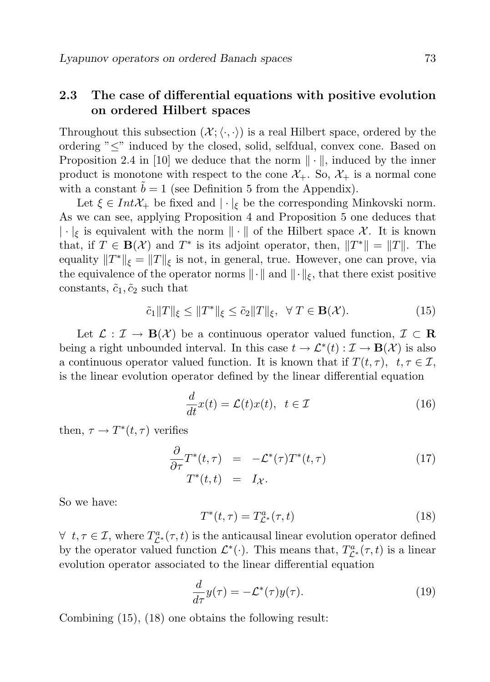### 2.3 The case of differential equations with positive evolution on ordered Hilbert spaces

Throughout this subsection  $(\mathcal{X}; \langle \cdot, \cdot \rangle)$  is a real Hilbert space, ordered by the ordering "≤" induced by the closed, solid, selfdual, convex cone. Based on Proposition 2.4 in [10] we deduce that the norm  $\|\cdot\|$ , induced by the inner product is monotone with respect to the cone  $\mathcal{X}_+$ . So,  $\mathcal{X}_+$  is a normal cone with a constant  $\tilde{b} = 1$  (see Definition 5 from the Appendix).

Let  $\xi \in Int\mathcal{X}_+$  be fixed and  $|\cdot|_{\xi}$  be the corresponding Minkovski norm. As we can see, applying Proposition 4 and Proposition 5 one deduces that  $|\cdot|_{\xi}$  is equivalent with the norm  $\|\cdot\|$  of the Hilbert space X. It is known that, if  $T \in \mathbf{B}(\mathcal{X})$  and  $T^*$  is its adjoint operator, then,  $||T^*|| = ||T||$ . The equality  $||T^*||_{\xi} = ||T||_{\xi}$  is not, in general, true. However, one can prove, via the equivalence of the operator norms  $\|\cdot\|$  and  $\|\cdot\|_{\xi}$ , that there exist positive constants,  $\tilde{c}_1, \tilde{c}_2$  such that

$$
\tilde{c}_1 \|T\|_{\xi} \le \|T^*\|_{\xi} \le \tilde{c}_2 \|T\|_{\xi}, \ \ \forall \ T \in \mathbf{B}(\mathcal{X}). \tag{15}
$$

Let  $\mathcal{L} : \mathcal{I} \to \mathbf{B}(\mathcal{X})$  be a continuous operator valued function,  $\mathcal{I} \subset \mathbf{R}$ being a right unbounded interval. In this case  $t \to \mathcal{L}^*(t) : \mathcal{I} \to \mathbf{B}(\mathcal{X})$  is also a continuous operator valued function. It is known that if  $T(t, \tau)$ ,  $t, \tau \in \mathcal{I}$ , is the linear evolution operator defined by the linear differential equation

$$
\frac{d}{dt}x(t) = \mathcal{L}(t)x(t), \ \ t \in \mathcal{I}
$$
\n(16)

then,  $\tau \to T^*(t, \tau)$  verifies

$$
\frac{\partial}{\partial \tau} T^*(t, \tau) = -\mathcal{L}^*(\tau) T^*(t, \tau) \tag{17}
$$
\n
$$
T^*(t, t) = I_{\mathcal{X}}.
$$

So we have:

$$
T^*(t,\tau) = T^a_{\mathcal{L}^*}(\tau,t)
$$
\n(18)

 $\forall t, \tau \in \mathcal{I}$ , where  $T_{\mathcal{L}^*}^a(\tau, t)$  is the anticausal linear evolution operator defined by the operator valued function  $\mathcal{L}^*(\cdot)$ . This means that,  $T^a_{\mathcal{L}^*}(\tau, t)$  is a linear evolution operator associated to the linear differential equation

$$
\frac{d}{d\tau}y(\tau) = -\mathcal{L}^*(\tau)y(\tau). \tag{19}
$$

Combining (15), (18) one obtains the following result: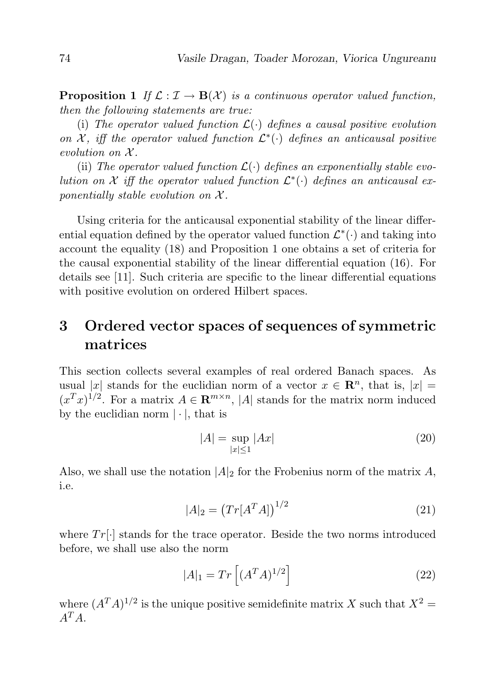**Proposition 1** If  $\mathcal{L} : \mathcal{I} \to \mathbf{B}(\mathcal{X})$  is a continuous operator valued function, then the following statements are true:

(i) The operator valued function  $\mathcal{L}(\cdot)$  defines a causal positive evolution on  $\mathcal{X}$ , iff the operator valued function  $\mathcal{L}^*(\cdot)$  defines an anticausal positive evolution on  $\mathcal{X}$ .

(ii) The operator valued function  $\mathcal{L}(\cdot)$  defines an exponentially stable evolution on X iff the operator valued function  $\mathcal{L}^*(\cdot)$  defines an anticausal exponentially stable evolution on  $\mathcal{X}$ .

Using criteria for the anticausal exponential stability of the linear differential equation defined by the operator valued function  $\mathcal{L}^*(\cdot)$  and taking into account the equality (18) and Proposition 1 one obtains a set of criteria for the causal exponential stability of the linear differential equation (16). For details see [11]. Such criteria are specific to the linear differential equations with positive evolution on ordered Hilbert spaces.

# 3 Ordered vector spaces of sequences of symmetric matrices

This section collects several examples of real ordered Banach spaces. As usual |x| stands for the euclidian norm of a vector  $x \in \mathbb{R}^n$ , that is,  $|x| =$  $(x^T x)^{1/2}$ . For a matrix  $A \in \mathbb{R}^{m \times n}$ , |A| stands for the matrix norm induced by the euclidian norm  $|\cdot|$ , that is

$$
|A| = \sup_{|x| \le 1} |Ax| \tag{20}
$$

Also, we shall use the notation  $|A|_2$  for the Frobenius norm of the matrix A, i.e.

$$
|A|_2 = (Tr[A^T A])^{1/2}
$$
 (21)

where  $Tr[\cdot]$  stands for the trace operator. Beside the two norms introduced before, we shall use also the norm

$$
|A|_1 = Tr\left[ (A^T A)^{1/2} \right] \tag{22}
$$

where  $(A^T A)^{1/2}$  is the unique positive semidefinite matrix X such that  $X^2 =$  $A^T A$ .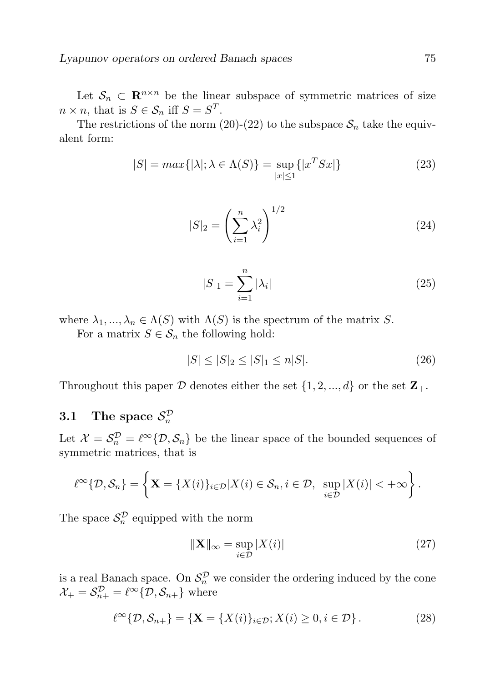Let  $\mathcal{S}_n \subset \mathbb{R}^{n \times n}$  be the linear subspace of symmetric matrices of size  $n \times n$ , that is  $S \in \mathcal{S}_n$  iff  $S = S^T$ .

The restrictions of the norm (20)-(22) to the subspace  $S_n$  take the equivalent form:

$$
|S| = \max\{|\lambda|; \lambda \in \Lambda(S)\} = \sup_{|x| \le 1} \{|x^T S x|\}
$$
\n(23)

$$
|S|_2 = \left(\sum_{i=1}^n \lambda_i^2\right)^{1/2} \tag{24}
$$

$$
|S|_1 = \sum_{i=1}^n |\lambda_i| \tag{25}
$$

where  $\lambda_1, ..., \lambda_n \in \Lambda(S)$  with  $\Lambda(S)$  is the spectrum of the matrix S.

For a matrix  $S \in \mathcal{S}_n$  the following hold:

$$
|S| \le |S|_2 \le |S|_1 \le n|S|.\tag{26}
$$

Throughout this paper  $D$  denotes either the set  $\{1, 2, ..., d\}$  or the set  $\mathbb{Z}_{+}$ .

# 3.1 The space  $\mathcal{S}_n^{\mathcal{D}}$

Let  $\mathcal{X} = \mathcal{S}_n^{\mathcal{D}} = \ell^{\infty} \{ \mathcal{D}, \mathcal{S}_n \}$  be the linear space of the bounded sequences of symmetric matrices, that is

$$
\ell^{\infty}\{\mathcal{D},\mathcal{S}_n\}=\left\{\mathbf{X}=\{X(i)\}_{i\in\mathcal{D}}|X(i)\in\mathcal{S}_n,i\in\mathcal{D},\ \sup_{i\in\mathcal{D}}|X(i)|<+\infty\right\}.
$$

The space  $S_n^{\mathcal{D}}$  equipped with the norm

$$
\|\mathbf{X}\|_{\infty} = \sup_{i \in \mathcal{D}} |X(i)| \tag{27}
$$

is a real Banach space. On  $\mathcal{S}_n^{\mathcal{D}}$  we consider the ordering induced by the cone  $\mathcal{X}_{+} = \mathcal{S}_{n+}^{\mathcal{D}} = \ell^{\infty} \{\mathcal{D}, \mathcal{S}_{n+}\}\$  where

$$
\ell^{\infty}\{\mathcal{D},\mathcal{S}_{n+}\} = \{\mathbf{X} = \{X(i)\}_{i \in \mathcal{D}}; X(i) \geq 0, i \in \mathcal{D}\}.
$$
 (28)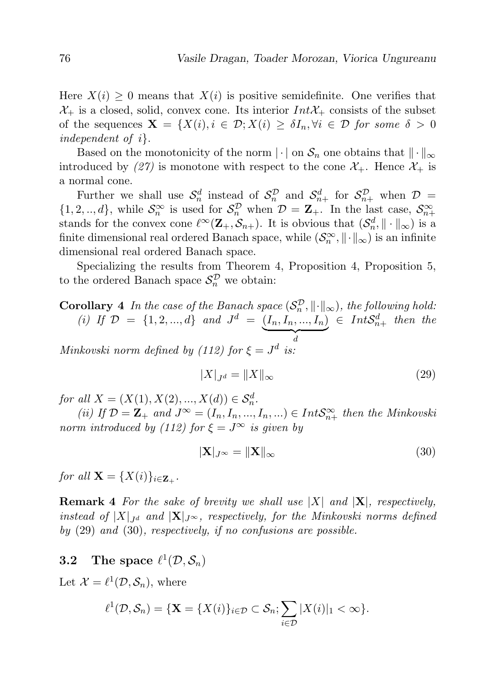Here  $X(i) \geq 0$  means that  $X(i)$  is positive semidefinite. One verifies that  $\mathcal{X}_+$  is a closed, solid, convex cone. Its interior  $Int\mathcal{X}_+$  consists of the subset of the sequences  $\mathbf{X} = \{X(i), i \in \mathcal{D}; X(i) \geq \delta I_n, \forall i \in \mathcal{D} \text{ for some } \delta > 0\}$ independent of i}.

Based on the monotonicity of the norm  $\|\cdot\|$  on  $\mathcal{S}_n$  one obtains that  $\|\cdot\|_{\infty}$ introduced by (27) is monotone with respect to the cone  $\mathcal{X}_+$ . Hence  $\mathcal{X}_+$  is a normal cone.

Further we shall use  $\mathcal{S}_n^d$  instead of  $\mathcal{S}_n^{\mathcal{D}}$  and  $\mathcal{S}_{n+}^d$  for  $\mathcal{S}_{n+}^{\mathcal{D}}$  when  $\mathcal{D}$  =  $\{1,2,..,d\}$ , while  $\mathcal{S}_n^{\infty}$  is used for  $\mathcal{S}_n^{\mathcal{D}}$  when  $\mathcal{D} = \mathbf{Z}_+$ . In the last case,  $\mathcal{S}_{n+1}^{\infty}$ stands for the convex cone  $\ell^{\infty}(\mathbf{Z}_{+}, \mathcal{S}_{n+})$ . It is obvious that  $(\mathcal{S}_n^d, \|\cdot\|_{\infty})$  is a finite dimensional real ordered Banach space, while  $(\mathcal{S}_n^{\infty}, \|\cdot\|_{\infty})$  is an infinite dimensional real ordered Banach space.

Specializing the results from Theorem 4, Proposition 4, Proposition 5, to the ordered Banach space  $\mathcal{S}_n^{\mathcal{D}}$  we obtain:

**Corollary** 4 In the case of the Banach space  $(S_n^{\mathcal{D}}, \|\cdot\|_{\infty})$ , the following hold: (i) If  $\mathcal{D} = \{1, 2, ..., d\}$  and  $J^d = (I_n, I_n, ..., I_n)$  $\overrightarrow{d}$  $\in Int S_{n+}^d$  then the Minkovski norm defined by (112) for  $\xi = J^d$  is:

$$
|X|_{J^d} = \|X\|_{\infty} \tag{29}
$$

for all  $X = (X(1), X(2), ..., X(d)) \in S_n^d$ .

(ii) If  $\mathcal{D} = \mathbf{Z}_+$  and  $J^{\infty} = (I_n, I_n, ..., I_n, ...) \in IntS^{\infty}_{n+1}$  then the Minkovski norm introduced by (112) for  $\xi = J^{\infty}$  is given by

$$
|\mathbf{X}|_{J^{\infty}} = \|\mathbf{X}\|_{\infty} \tag{30}
$$

for all  $\mathbf{X} = \{X(i)\}_{i \in \mathbf{Z}_+}$ .

**Remark 4** For the sake of brevity we shall use  $|X|$  and  $|X|$ , respectively, instead of  $|X|_{J^d}$  and  $|X|_{J^\infty}$ , respectively, for the Minkovski norms defined by (29) and (30), respectively, if no confusions are possible.

### **3.2** The space  $\ell^1(\mathcal{D}, \mathcal{S}_n)$

Let  $\mathcal{X} = \ell^1(\mathcal{D}, \mathcal{S}_n)$ , where

$$
\ell^1(\mathcal{D}, \mathcal{S}_n) = \{ \mathbf{X} = \{ X(i) \}_{i \in \mathcal{D}} \subset \mathcal{S}_n; \sum_{i \in \mathcal{D}} |X(i)|_1 < \infty \}.
$$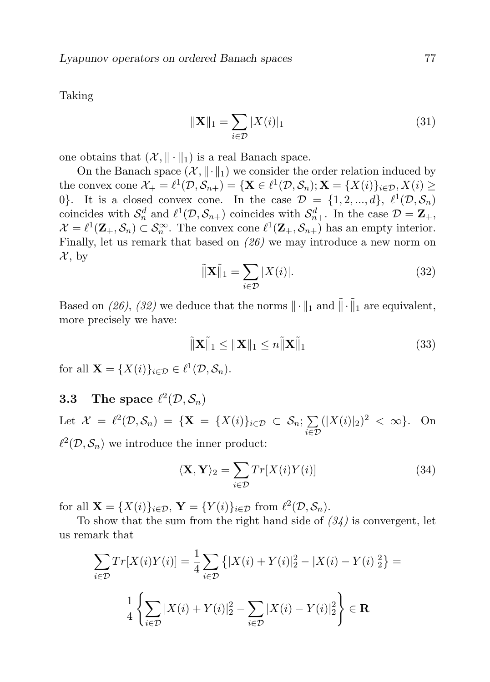Taking

$$
\|\mathbf{X}\|_{1} = \sum_{i \in \mathcal{D}} |X(i)|_{1}
$$
 (31)

one obtains that  $(\mathcal{X}, \|\cdot\|_1)$  is a real Banach space.

On the Banach space  $(\mathcal{X}, \|\cdot\|_1)$  we consider the order relation induced by the convex cone  $\mathcal{X}_+ = \ell^1(\mathcal{D}, \mathcal{S}_{n+}) = {\mathbf{X} \in \ell^1(\mathcal{D}, \mathcal{S}_n); \mathbf{X} = {X(i)}_{i \in \mathcal{D}, X(i) \geq \mathbf{X}}$ 0}. It is a closed convex cone. In the case  $\mathcal{D} = \{1, 2, ..., d\}, \ell^1(\mathcal{D}, \mathcal{S}_n)$ coincides with  $S_n^d$  and  $\ell^1(\mathcal{D}, \mathcal{S}_{n+})$  coincides with  $\mathcal{S}_{n+}^d$ . In the case  $\mathcal{D} = \mathbf{Z}_+,$  $\mathcal{X} = \ell^1(\mathbf{Z}_+, \mathcal{S}_n) \subset \mathcal{S}_n^{\infty}$ . The convex cone  $\ell^1(\mathbf{Z}_+, \mathcal{S}_{n+})$  has an empty interior. Finally, let us remark that based on (26) we may introduce a new norm on  $\mathcal{X}, \text{ by}$ 

$$
\tilde{\|\mathbf{X}\|}_{1} = \sum_{i \in \mathcal{D}} |X(i)|. \tag{32}
$$

Based on (26), (32) we deduce that the norms  $\|\cdot\|_1$  and  $\tilde{\|\cdot\|}_1$  are equivalent, more precisely we have:

$$
\tilde{\|\mathbf{X}\|}_1 \le \|\mathbf{X}\|_1 \le n\tilde{\|\mathbf{X}\|}_1 \tag{33}
$$

for all  $\mathbf{X} = \{X(i)\}_{i \in \mathcal{D}} \in \ell^1(\mathcal{D}, \mathcal{S}_n).$ 

### **3.3** The space  $\ell^2(\mathcal{D}, \mathcal{S}_n)$

Let  $\mathcal{X} = \ell^2(\mathcal{D}, \mathcal{S}_n) = {\mathbf{X} = {X(i)}_{i \in \mathcal{D}} \subset \mathcal{S}_n; \sum$ i∈D  $(|X(i)|_2)^2 < \infty$ . On  $\ell^2(\mathcal{D}, \mathcal{S}_n)$  we introduce the inner product:

$$
\langle \mathbf{X}, \mathbf{Y} \rangle_2 = \sum_{i \in \mathcal{D}} Tr[X(i)Y(i)] \tag{34}
$$

for all  $\mathbf{X} = \{X(i)\}_{i \in \mathcal{D}}, \ \mathbf{Y} = \{Y(i)\}_{i \in \mathcal{D}} \text{ from } \ell^2(\mathcal{D}, \mathcal{S}_n).$ 

To show that the sum from the right hand side of  $(34)$  is convergent, let us remark that

$$
\sum_{i \in \mathcal{D}} Tr[X(i)Y(i)] = \frac{1}{4} \sum_{i \in \mathcal{D}} \left\{ |X(i) + Y(i)|_2^2 - |X(i) - Y(i)|_2^2 \right\} =
$$

$$
\frac{1}{4} \left\{ \sum_{i \in \mathcal{D}} |X(i) + Y(i)|_2^2 - \sum_{i \in \mathcal{D}} |X(i) - Y(i)|_2^2 \right\} \in \mathbf{R}
$$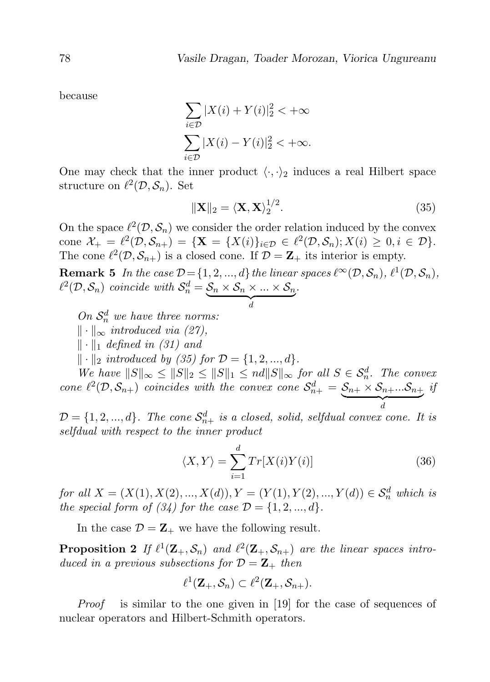because

$$
\sum_{i \in \mathcal{D}} |X(i) + Y(i)|_2^2 < +\infty
$$
\n
$$
\sum_{i \in \mathcal{D}} |X(i) - Y(i)|_2^2 < +\infty.
$$

One may check that the inner product  $\langle \cdot, \cdot \rangle_2$  induces a real Hilbert space structure on  $\ell^2(\mathcal{D}, \mathcal{S}_n)$ . Set

$$
\|\mathbf{X}\|_2 = \langle \mathbf{X}, \mathbf{X} \rangle_2^{1/2}.
$$
 (35)

On the space  $\ell^2(\mathcal{D}, \mathcal{S}_n)$  we consider the order relation induced by the convex cone  $\mathcal{X}_{+} = \ell^{2}(\mathcal{D}, \mathcal{S}_{n+}) = {\mathbf{X} = \{X(i)\}_{i \in \mathcal{D}} \in \ell^{2}(\mathcal{D}, \mathcal{S}_{n}); X(i) \geq 0, i \in \mathcal{D}}.$ The cone  $\ell^2(\mathcal{D}, \mathcal{S}_{n+})$  is a closed cone. If  $\mathcal{D} = \mathbf{Z}_+$  its interior is empty.

**Remark 5** In the case  $\mathcal{D} = \{1, 2, ..., d\}$  the linear spaces  $\ell^{\infty}(\mathcal{D}, \mathcal{S}_n)$ ,  $\ell^1(\mathcal{D}, \mathcal{S}_n)$ ,  $\ell^2(\mathcal{D}, \mathcal{S}_n)$  coincide with  $\mathcal{S}_n^d = \mathcal{S}_n \times \mathcal{S}_n \times ... \times \mathcal{S}_n$  $\overline{d}$ .

On  $\mathcal{S}_n^d$  we have three norms:

 $\|\cdot\|_{\infty}$  introduced via (27),

 $\|\cdot\|_1$  defined in (31) and

 $\|\cdot\|_2$  introduced by (35) for  $\mathcal{D} = \{1, 2, ..., d\}.$ 

We have  $||S||_{\infty} \le ||S||_2 \le ||S||_1 \le nd||S||_{\infty}$  for all  $S \in \mathcal{S}_n^d$ . The convex n cone  $\ell^2(\mathcal{D}, \mathcal{S}_{n+})$  coincides with the convex cone  $\mathcal{S}_{n+}^d = \mathcal{S}_{n+} \times \mathcal{S}_{n+} ... \mathcal{S}_{n+}$  $\overrightarrow{d}$ if

 $\mathcal{D} = \{1, 2, ..., d\}$ . The cone  $\mathcal{S}_{n+}^d$  is a closed, solid, selfdual convex cone. It is selfdual with respect to the inner product

$$
\langle X, Y \rangle = \sum_{i=1}^{d} Tr[X(i)Y(i)] \tag{36}
$$

for all  $X = (X(1), X(2), ..., X(d)), Y = (Y(1), Y(2), ..., Y(d)) \in S_n^d$  which is the special form of  $(34)$  for the case  $\mathcal{D} = \{1, 2, ..., d\}.$ 

In the case  $\mathcal{D} = \mathbf{Z}_+$  we have the following result.

**Proposition 2** If  $\ell^1(\mathbf{Z}_+, \mathcal{S}_n)$  and  $\ell^2(\mathbf{Z}_+, \mathcal{S}_{n+})$  are the linear spaces introduced in a previous subsections for  $\mathcal{D} = \mathbf{Z}_+$  then

$$
\ell^1(\mathbf{Z}_+,\mathcal{S}_n) \subset \ell^2(\mathbf{Z}_+,\mathcal{S}_{n+}).
$$

Proof is similar to the one given in [19] for the case of sequences of nuclear operators and Hilbert-Schmith operators.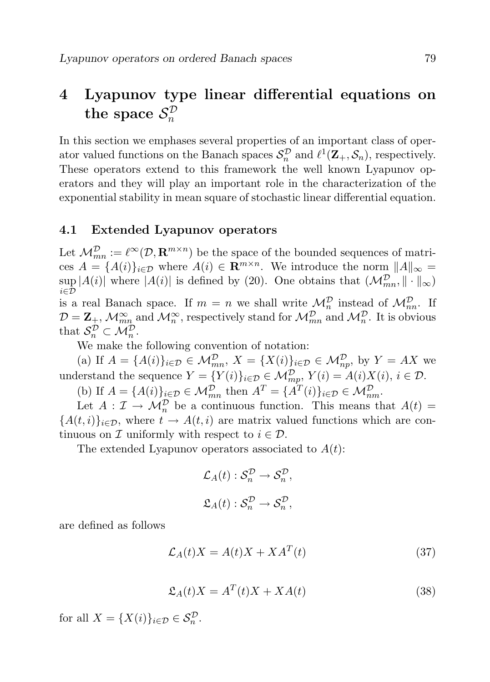#### 4 Lyapunov type linear differential equations on the space  $\mathcal{S}^\mathcal{D}_n$ n

In this section we emphases several properties of an important class of operator valued functions on the Banach spaces  $S_n^{\mathcal{D}}$  and  $\ell^1(\mathbf{Z}_+, \mathcal{S}_n)$ , respectively. These operators extend to this framework the well known Lyapunov operators and they will play an important role in the characterization of the exponential stability in mean square of stochastic linear differential equation.

#### 4.1 Extended Lyapunov operators

Let  $\mathcal{M}_{mn}^{\mathcal{D}} := \ell^{\infty}(\mathcal{D}, \mathbf{R}^{m \times n})$  be the space of the bounded sequences of matrices  $A = \{A(i)\}_{i \in \mathcal{D}}$  where  $A(i) \in \mathbb{R}^{m \times n}$ . We introduce the norm  $||A||_{\infty} =$  $\sup |A(i)|$  where  $|A(i)|$  is defined by (20). One obtains that  $(\mathcal{M}_{mn}^{\mathcal{D}}, \|\cdot\|_{\infty})$  $i \in \overline{\mathcal{D}}$ is a real Banach space. If  $m = n$  we shall write  $\mathcal{M}_n^{\mathcal{D}}$  instead of  $\mathcal{M}_{nn}^{\mathcal{D}}$ . If  $D = \mathbf{Z}_{\pm}, \mathcal{M}_{mn}^{\infty}$  and  $\mathcal{M}_{n}^{\infty}$ , respectively stand for  $\mathcal{M}_{mn}^{\mathcal{D}}$  and  $\mathcal{M}_{n}^{\mathcal{D}}$ . It is obvious that  $\mathcal{S}_n^{\mathcal{D}} \subset \mathcal{M}_n^{\mathcal{D}}$ .

We make the following convention of notation:

(a) If  $A = \{A(i)\}_{i \in \mathcal{D}} \in \mathcal{M}_{mn}^{\mathcal{D}}, X = \{X(i)\}_{i \in \mathcal{D}} \in \mathcal{M}_{np}^{\mathcal{D}}, \text{ by } Y = AX$  we understand the sequence  $Y = \{Y(i)\}_{i \in \mathcal{D}} \in \mathcal{M}_{mp}^{\mathcal{D}}, Y(i) = A(i)X(i), i \in \mathcal{D}.$ 

(b) If  $A = \{A(i)\}_{i \in \mathcal{D}} \in \mathcal{M}_{mn}^{\mathcal{D}}$  then  $A^T = \{A^T(i)\}_{i \in \mathcal{D}} \in \mathcal{M}_{nm}^{\mathcal{D}}$ .

Let  $A: \mathcal{I} \to \mathcal{M}_n^{\mathcal{D}}$  be a continuous function. This means that  $A(t) =$  ${A(t, i)}_{i \in \mathcal{D}}$ , where  $t \to A(t, i)$  are matrix valued functions which are continuous on  $\mathcal I$  uniformly with respect to  $i \in \mathcal D$ .

The extended Lyapunov operators associated to  $A(t)$ :

$$
\mathcal{L}_A(t) : \mathcal{S}_n^{\mathcal{D}} \to \mathcal{S}_n^{\mathcal{D}},
$$
  

$$
\mathfrak{L}_A(t) : \mathcal{S}_n^{\mathcal{D}} \to \mathcal{S}_n^{\mathcal{D}},
$$

are defined as follows

$$
\mathcal{L}_A(t)X = A(t)X + X A^T(t) \tag{37}
$$

$$
\mathfrak{L}_A(t)X = A^T(t)X + XA(t) \tag{38}
$$

for all  $X = \{X(i)\}_{i \in \mathcal{D}} \in \mathcal{S}_n^{\mathcal{D}}$ .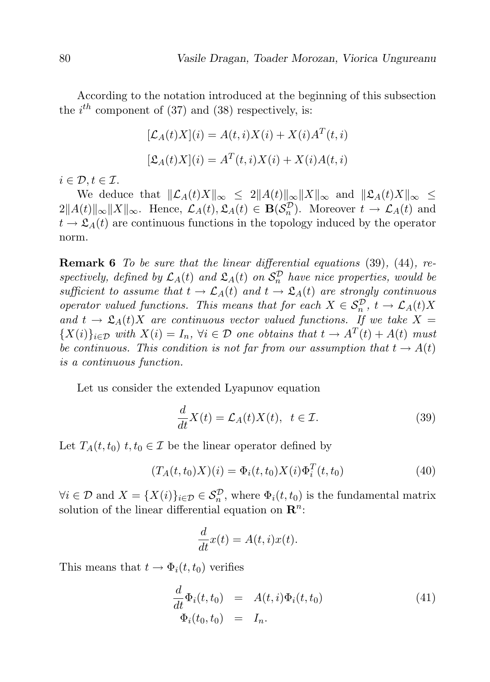According to the notation introduced at the beginning of this subsection the  $i^{th}$  component of (37) and (38) respectively, is:

$$
[\mathcal{L}_A(t)X](i) = A(t,i)X(i) + X(i)A^T(t,i)
$$

$$
[\mathfrak{L}_A(t)X](i) = A^T(t,i)X(i) + X(i)A(t,i)
$$

 $i \in \mathcal{D}, t \in \mathcal{I}.$ 

We deduce that  $\|\mathcal{L}_A(t)X\|_{\infty} \leq 2\|A(t)\|_{\infty}\|X\|_{\infty}$  and  $\|\mathfrak{L}_A(t)X\|_{\infty} \leq$  $2||A(t)||_{\infty}||X||_{\infty}$ . Hence,  $\mathcal{L}_A(t), \mathcal{L}_A(t) \in \mathbf{B}(\mathcal{S}_n^{\mathcal{D}})$ . Moreover  $t \to \mathcal{L}_A(t)$  and  $t \to \mathfrak{L}_A(t)$  are continuous functions in the topology induced by the operator norm.

**Remark 6** To be sure that the linear differential equations (39), (44), respectively, defined by  $\mathcal{L}_A(t)$  and  $\mathcal{L}_A(t)$  on  $\mathcal{S}_n^{\mathcal{D}}$  have nice properties, would be sufficient to assume that  $t \to \mathcal{L}_A(t)$  and  $t \to \mathcal{L}_A(t)$  are strongly continuous operator valued functions. This means that for each  $X \in S_n^{\mathcal{D}}$ ,  $t \to \mathcal{L}_A(t)X$ and  $t \to \mathfrak{L}_A(t)X$  are continuous vector valued functions. If we take  $X =$  ${X(i)}_{i\in\mathcal{D}}$  with  $X(i) = I_n$ ,  $\forall i \in \mathcal{D}$  one obtains that  $t \to A^T(t) + A(t)$  must be continuous. This condition is not far from our assumption that  $t \to A(t)$ is a continuous function.

Let us consider the extended Lyapunov equation

$$
\frac{d}{dt}X(t) = \mathcal{L}_A(t)X(t), \ t \in \mathcal{I}.\tag{39}
$$

Let  $T_A(t, t_0)$   $t, t_0 \in \mathcal{I}$  be the linear operator defined by

$$
(T_A(t, t_0)X)(i) = \Phi_i(t, t_0)X(i)\Phi_i^T(t, t_0)
$$
\n(40)

 $\forall i \in \mathcal{D} \text{ and } X = \{X(i)\}_{i \in \mathcal{D}} \in \mathcal{S}_n^{\mathcal{D}}, \text{ where } \Phi_i(t, t_0) \text{ is the fundamental matrix}$ solution of the linear differential equation on  $\mathbb{R}^n$ :

$$
\frac{d}{dt}x(t) = A(t,i)x(t).
$$

This means that  $t \to \Phi_i(t, t_0)$  verifies

$$
\frac{d}{dt}\Phi_i(t, t_0) = A(t, i)\Phi_i(t, t_0)
$$
\n
$$
\Phi_i(t_0, t_0) = I_n.
$$
\n(41)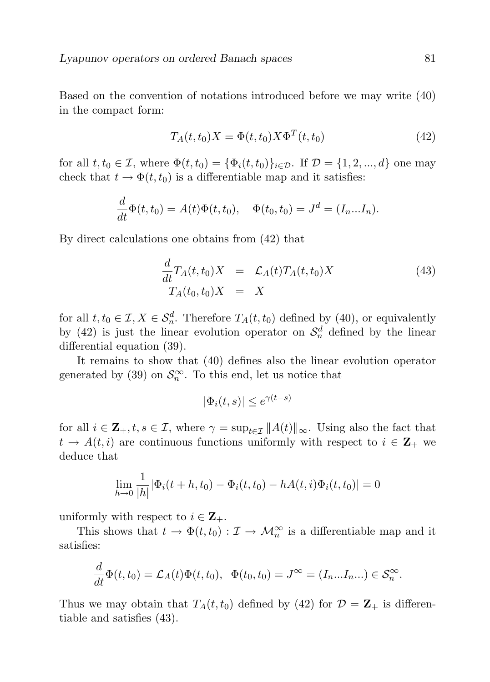Based on the convention of notations introduced before we may write (40) in the compact form:

$$
T_A(t, t_0)X = \Phi(t, t_0)X\Phi^T(t, t_0)
$$
\n(42)

for all  $t, t_0 \in \mathcal{I}$ , where  $\Phi(t, t_0) = {\Phi_i(t, t_0)}_{i \in \mathcal{D}}$ . If  $\mathcal{D} = \{1, 2, ..., d\}$  one may check that  $t \to \Phi(t, t_0)$  is a differentiable map and it satisfies:

$$
\frac{d}{dt}\Phi(t,t_0) = A(t)\Phi(t,t_0), \quad \Phi(t_0,t_0) = J^d = (I_n...I_n).
$$

By direct calculations one obtains from (42) that

$$
\frac{d}{dt}T_A(t,t_0)X = \mathcal{L}_A(t)T_A(t,t_0)X
$$
\n(43)  
\n
$$
T_A(t_0,t_0)X = X
$$

for all  $t, t_0 \in \mathcal{I}, X \in \mathcal{S}_n^d$ . Therefore  $T_A(t, t_0)$  defined by (40), or equivalently by (42) is just the linear evolution operator on  $\mathcal{S}_n^d$  defined by the linear differential equation (39).

It remains to show that (40) defines also the linear evolution operator generated by (39) on  $\mathcal{S}_n^{\infty}$ . To this end, let us notice that

$$
|\Phi_i(t,s)| \le e^{\gamma(t-s)}
$$

for all  $i \in \mathbf{Z}_+, t, s \in \mathcal{I}$ , where  $\gamma = \sup_{t \in \mathcal{I}} ||A(t)||_{\infty}$ . Using also the fact that  $t \to A(t, i)$  are continuous functions uniformly with respect to  $i \in \mathbf{Z}_+$  we deduce that

$$
\lim_{h \to 0} \frac{1}{|h|} |\Phi_i(t+h, t_0) - \Phi_i(t, t_0) - hA(t, i)\Phi_i(t, t_0)| = 0
$$

uniformly with respect to  $i \in \mathbf{Z}_+$ .

This shows that  $t \to \Phi(t, t_0) : \mathcal{I} \to \mathcal{M}_n^{\infty}$  is a differentiable map and it satisfies:

$$
\frac{d}{dt}\Phi(t,t_0)=\mathcal{L}_A(t)\Phi(t,t_0), \quad \Phi(t_0,t_0)=J^{\infty}=(I_n...I_n...) \in \mathcal{S}_n^{\infty}.
$$

Thus we may obtain that  $T_A(t,t_0)$  defined by (42) for  $\mathcal{D} = \mathbf{Z}_+$  is differentiable and satisfies (43).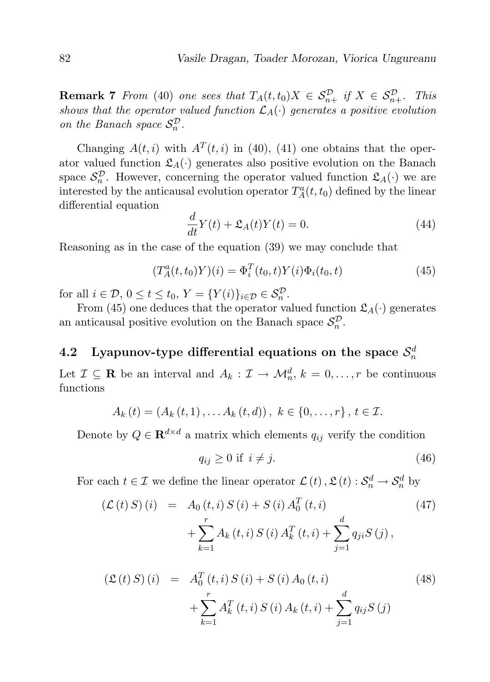**Remark 7** From (40) one sees that  $T_A(t,t_0)X \in S_{n+}^{\mathcal{D}}$  if  $X \in S_{n+}^{\mathcal{D}}$ . This shows that the operator valued function  $\mathcal{L}_A(\cdot)$  generates a positive evolution on the Banach space  $S_n^{\mathcal{D}}$ .

Changing  $A(t, i)$  with  $A<sup>T</sup>(t, i)$  in (40), (41) one obtains that the operator valued function  $\mathfrak{L}_A(\cdot)$  generates also positive evolution on the Banach space  $\mathcal{S}_n^{\mathcal{D}}$ . However, concerning the operator valued function  $\mathfrak{L}_A(\cdot)$  we are interested by the anticausal evolution operator  $T_A^a(t,t_0)$  defined by the linear differential equation

$$
\frac{d}{dt}Y(t) + \mathfrak{L}_A(t)Y(t) = 0.
$$
\n(44)

Reasoning as in the case of the equation (39) we may conclude that

$$
(T_A^a(t, t_0)Y)(i) = \Phi_i^T(t_0, t)Y(i)\Phi_i(t_0, t)
$$
\n(45)

for all  $i \in \mathcal{D}, 0 \le t \le t_0, Y = \{Y(i)\}_{i \in \mathcal{D}} \in \mathcal{S}_n^{\mathcal{D}}$ .

From (45) one deduces that the operator valued function  $\mathfrak{L}_A(\cdot)$  generates an anticausal positive evolution on the Banach space  $S_n^{\mathcal{D}}$ .

# 4.2 Lyapunov-type differential equations on the space  $\mathcal{S}_n^d$

Let  $\mathcal{I} \subseteq \mathbf{R}$  be an interval and  $A_k : \mathcal{I} \to \mathcal{M}_n^d$ ,  $k = 0, \ldots, r$  be continuous functions

$$
A_k(t) = (A_k(t,1), \ldots A_k(t,d)), \ k \in \{0,\ldots,r\}, \ t \in \mathcal{I}.
$$

Denote by  $Q \in \mathbf{R}^{d \times d}$  a matrix which elements  $q_{ij}$  verify the condition

$$
q_{ij} \ge 0 \text{ if } i \ne j. \tag{46}
$$

For each  $t \in \mathcal{I}$  we define the linear operator  $\mathcal{L}(t)$ ,  $\mathcal{L}(t)$ :  $\mathcal{S}_n^d \to \mathcal{S}_n^d$  by

$$
\begin{aligned} \left(\mathcal{L}\left(t\right)S\right)\left(i\right) &= A_0\left(t,i\right)S\left(i\right) + S\left(i\right)A_0^T\left(t,i\right) \\ &+ \sum_{k=1}^r A_k\left(t,i\right)S\left(i\right)A_k^T\left(t,i\right) + \sum_{j=1}^d q_{ji}S\left(j\right), \end{aligned} \tag{47}
$$

$$
\begin{aligned} \left(\mathfrak{L}\left(t\right)S\right)\left(i\right) &= A_0^T\left(t,i\right)S\left(i\right) + S\left(i\right)A_0\left(t,i\right) \\ &+ \sum_{k=1}^r A_k^T\left(t,i\right)S\left(i\right)A_k\left(t,i\right) + \sum_{j=1}^d q_{ij}S\left(j\right) \end{aligned} \tag{48}
$$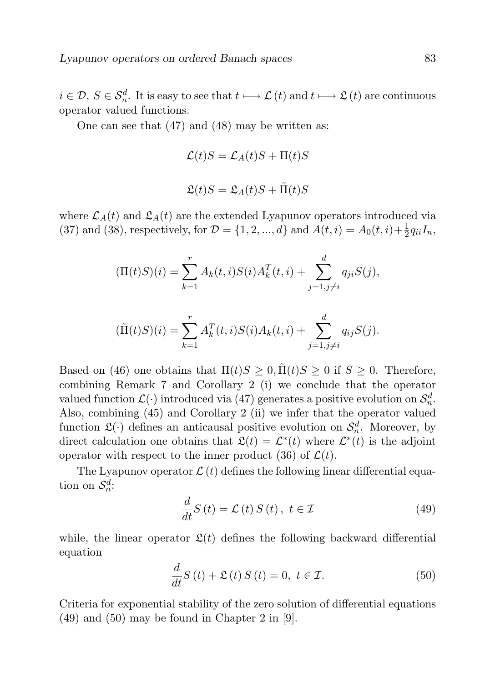$i \in \mathcal{D}, S \in \mathcal{S}_n^d$ . It is easy to see that  $t \longmapsto \mathcal{L}(t)$  and  $t \longmapsto \mathcal{L}(t)$  are continuous operator valued functions.

One can see that (47) and (48) may be written as:

$$
\mathcal{L}(t)S = \mathcal{L}_A(t)S + \Pi(t)S
$$

$$
\mathfrak{L}(t)S = \mathfrak{L}_A(t)S + \tilde{\Pi}(t)S
$$

where  $\mathcal{L}_A(t)$  and  $\mathcal{L}_A(t)$  are the extended Lyapunov operators introduced via (37) and (38), respectively, for  $D = \{1, 2, ..., d\}$  and  $A(t, i) = A_0(t, i) + \frac{1}{2}q_{ii}I_n$ ,

$$
(\Pi(t)S)(i) = \sum_{k=1}^{r} A_k(t, i)S(i)A_k^T(t, i) + \sum_{j=1, j \neq i}^{d} q_{ji}S(j),
$$

$$
(\tilde{\Pi}(t)S)(i) = \sum_{k=1}^{r} A_k^T(t, i)S(i)A_k(t, i) + \sum_{j=1, j \neq i}^{d} q_{ij}S(j).
$$

Based on (46) one obtains that  $\Pi(t)S \geq 0$ ,  $\tilde{\Pi}(t)S \geq 0$  if  $S \geq 0$ . Therefore, combining Remark 7 and Corollary 2 (i) we conclude that the operator valued function  $\mathcal{L}(\cdot)$  introduced via (47) generates a positive evolution on  $\mathcal{S}_n^d$ . Also, combining (45) and Corollary 2 (ii) we infer that the operator valued function  $\mathfrak{L}(\cdot)$  defines an anticausal positive evolution on  $\mathcal{S}_n^d$ . Moreover, by direct calculation one obtains that  $\mathfrak{L}(t) = \mathcal{L}^*(t)$  where  $\mathcal{L}^*(t)$  is the adjoint operator with respect to the inner product (36) of  $\mathcal{L}(t)$ .

The Lyapunov operator  $\mathcal{L}(t)$  defines the following linear differential equation on  $\mathcal{S}_n^d$ :

$$
\frac{d}{dt}S\left(t\right) = \mathcal{L}\left(t\right)S\left(t\right), \ t \in \mathcal{I}
$$
\n<sup>(49)</sup>

while, the linear operator  $\mathfrak{L}(t)$  defines the following backward differential equation

$$
\frac{d}{dt}S\left(t\right) + \mathfrak{L}\left(t\right)S\left(t\right) = 0, \ t \in \mathcal{I}.\tag{50}
$$

Criteria for exponential stability of the zero solution of differential equations (49) and (50) may be found in Chapter 2 in [9].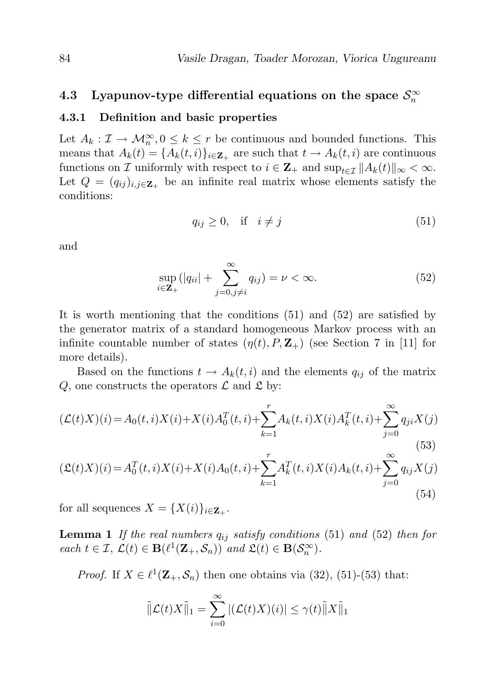# 4.3 Lyapunov-type differential equations on the space  $\mathcal{S}_n^{\infty}$

#### 4.3.1 Definition and basic properties

Let  $A_k : \mathcal{I} \to \mathcal{M}_n^{\infty}, 0 \leq k \leq r$  be continuous and bounded functions. This means that  $A_k(t) = \{A_k(t, i)\}_{i \in \mathbb{Z}_+}$  are such that  $t \to A_k(t, i)$  are continuous functions on I uniformly with respect to  $i \in \mathbf{Z}_+$  and  $\sup_{t \in \mathcal{T}} ||A_k(t)||_{\infty} < \infty$ . Let  $Q = (q_{ij})_{i,j \in \mathbf{Z}_+}$  be an infinite real matrix whose elements satisfy the conditions:

$$
q_{ij} \ge 0, \quad \text{if} \quad i \ne j \tag{51}
$$

and

$$
\sup_{i \in \mathbf{Z}_{+}} (|q_{ii}| + \sum_{j=0, j \neq i}^{\infty} q_{ij}) = \nu < \infty.
$$
 (52)

It is worth mentioning that the conditions (51) and (52) are satisfied by the generator matrix of a standard homogeneous Markov process with an infinite countable number of states  $(\eta(t), P, \mathbb{Z}_+)$  (see Section 7 in [11] for more details).

Based on the functions  $t \to A_k(t, i)$  and the elements  $q_{ij}$  of the matrix Q, one constructs the operators  $\mathcal L$  and  $\mathfrak L$  by:

$$
(\mathcal{L}(t)X)(i) = A_0(t, i)X(i) + X(i)A_0^T(t, i) + \sum_{k=1}^r A_k(t, i)X(i)A_k^T(t, i) + \sum_{j=0}^\infty q_{ji}X(j)
$$
\n
$$
(53)
$$
\n
$$
(2(t)X)(i) = A_0^T(t, i)X(i) + X(i)A_0^T(t, i) + \sum_{k=1}^r A_k^T(t, i)X(i)A_k^T(t, i) + \sum_{j=0}^\infty q_{ji}X(j)
$$

$$
(\mathfrak{L}(t)X)(i) = A_0^T(t, i)X(i) + X(i)A_0(t, i) + \sum_{k=1}^r A_k^T(t, i)X(i)A_k(t, i) + \sum_{j=0}^\infty q_{ij}X(j)
$$
\n(54)

for all sequences  $X = \{X(i)\}_{i \in \mathbf{Z}_+}.$ 

**Lemma 1** If the real numbers  $q_{ij}$  satisfy conditions (51) and (52) then for  $\text{each } t \in \mathcal{I}, \, \mathcal{L}(t) \in \mathbf{B}(\ell^1(\mathbf{Z}_+,\mathcal{S}_n)) \text{ and } \mathfrak{L}(t) \in \mathbf{B}(\mathcal{S}_n^{\infty}).$ 

*Proof.* If  $X \in \ell^1(\mathbf{Z}_+, \mathcal{S}_n)$  then one obtains via (32), (51)-(53) that:

$$
\|\mathcal{L}(t)X\|_1 = \sum_{i=0}^{\infty} |(\mathcal{L}(t)X)(i)| \leq \gamma(t)\|X\|_1
$$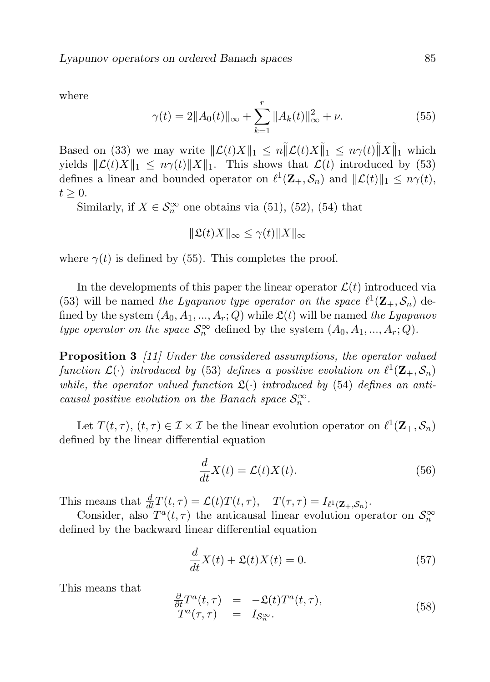where

$$
\gamma(t) = 2||A_0(t)||_{\infty} + \sum_{k=1}^r ||A_k(t)||_{\infty}^2 + \nu.
$$
 (55)

Based on (33) we may write  $\|\mathcal{L}(t)X\|_1 \leq n \|\mathcal{L}(t)X\|_1 \leq n\gamma(t)\|X\|_1$  which yields  $\|\mathcal{L}(t)X\|_1 \leq n\gamma(t)\|X\|_1$ . This shows that  $\mathcal{L}(t)$  introduced by (53) defines a linear and bounded operator on  $\ell^1(\mathbf{Z}_+,\mathcal{S}_n)$  and  $\|\mathcal{L}(t)\|_1 \leq n\gamma(t)$ ,  $t \geq 0$ .

Similarly, if  $X \in \mathcal{S}_n^{\infty}$  one obtains via (51), (52), (54) that

$$
\|\mathfrak{L}(t)X\|_{\infty} \leq \gamma(t) \|X\|_{\infty}
$$

where  $\gamma(t)$  is defined by (55). This completes the proof.

In the developments of this paper the linear operator  $\mathcal{L}(t)$  introduced via (53) will be named the Lyapunov type operator on the space  $\ell^1(\mathbf{Z}_+, \mathcal{S}_n)$  defined by the system  $(A_0, A_1, ..., A_r; Q)$  while  $\mathfrak{L}(t)$  will be named the Lyapunov type operator on the space  $S_n^{\infty}$  defined by the system  $(A_0, A_1, ..., A_r; Q)$ .

Proposition 3 [11] Under the considered assumptions, the operator valued function  $\mathcal{L}(\cdot)$  introduced by (53) defines a positive evolution on  $\ell^1(\mathbf{Z}_+,\mathcal{S}_n)$ while, the operator valued function  $\mathfrak{L}(\cdot)$  introduced by (54) defines an anticausal positive evolution on the Banach space  $\mathcal{S}_n^{\infty}$ .

Let  $T(t, \tau)$ ,  $(t, \tau) \in \mathcal{I} \times \mathcal{I}$  be the linear evolution operator on  $\ell^1(\mathbf{Z}_+, \mathcal{S}_n)$ defined by the linear differential equation

$$
\frac{d}{dt}X(t) = \mathcal{L}(t)X(t).
$$
\n(56)

This means that  $\frac{d}{dt}T(t,\tau) = \mathcal{L}(t)T(t,\tau), \quad T(\tau,\tau) = I_{\ell^1(\mathbf{Z}_+,\mathcal{S}_n)}.$ 

Consider, also  $T^a(t,\tau)$  the anticausal linear evolution operator on  $\mathcal{S}_n^{\infty}$ defined by the backward linear differential equation

$$
\frac{d}{dt}X(t) + \mathfrak{L}(t)X(t) = 0.
$$
\n(57)

This means that

$$
\frac{\partial}{\partial t}T^{a}(t,\tau) = -\mathfrak{L}(t)T^{a}(t,\tau), T^{a}(\tau,\tau) = I_{\mathcal{S}_{n}^{\infty}}.
$$
\n(58)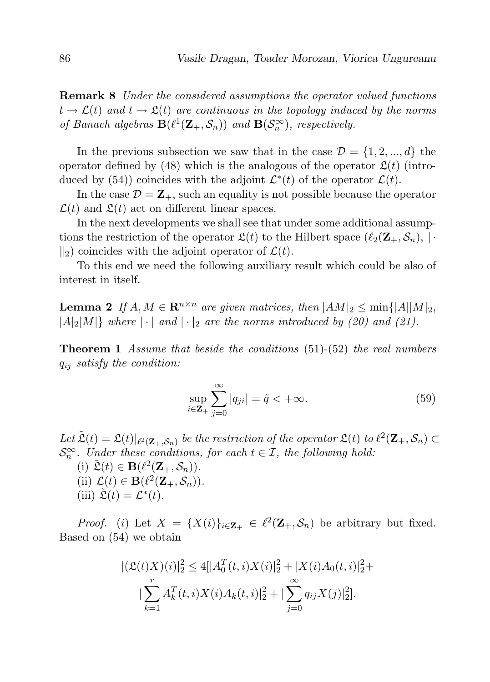Remark 8 Under the considered assumptions the operator valued functions  $t \to \mathcal{L}(t)$  and  $t \to \mathfrak{L}(t)$  are continuous in the topology induced by the norms of Banach algebras  $\mathbf{B}(\ell^1(\mathbf{Z}_+,\mathcal{S}_n))$  and  $\mathbf{B}(\mathcal{S}_n^{\infty})$ , respectively.

In the previous subsection we saw that in the case  $\mathcal{D} = \{1, 2, ..., d\}$  the operator defined by (48) which is the analogous of the operator  $\mathfrak{L}(t)$  (introduced by (54)) coincides with the adjoint  $\mathcal{L}^*(t)$  of the operator  $\mathcal{L}(t)$ .

In the case  $\mathcal{D} = \mathbf{Z}_+$ , such an equality is not possible because the operator  $\mathcal{L}(t)$  and  $\mathfrak{L}(t)$  act on different linear spaces.

In the next developments we shall see that under some additional assumptions the restriction of the operator  $\mathfrak{L}(t)$  to the Hilbert space  $(\ell_2(\mathbf{Z}_+, \mathcal{S}_n), || \cdot$  $\Vert_{2}$ ) coincides with the adjoint operator of  $\mathcal{L}(t)$ .

To this end we need the following auxiliary result which could be also of interest in itself.

**Lemma 2** If  $A, M \in \mathbb{R}^{n \times n}$  are given matrices, then  $|AM|_2 \le \min\{|A||M|_2,$  $|A|_2|M|$  where  $|\cdot|$  and  $|\cdot|_2$  are the norms introduced by (20) and (21).

**Theorem 1** Assume that beside the conditions (51)-(52) the real numbers  $q_{ij}$  satisfy the condition:

$$
\sup_{i\in\mathbf{Z}_{+}}\sum_{j=0}^{\infty}|q_{ji}|=\tilde{q}<+\infty.
$$
\n(59)

Let  $\tilde{\mathfrak{L}}(t) = \mathfrak{L}(t)|_{\ell^2(\mathbf{Z}_+,\mathcal{S}_n)}$  be the restriction of the operator  $\mathfrak{L}(t)$  to  $\ell^2(\mathbf{Z}_+,\mathcal{S}_n) \subset$  $\mathcal{S}_n^{\infty}$ . Under these conditions, for each  $t \in \mathcal{I}$ , the following hold:

(i)  $\tilde{\mathfrak{L}}(t) \in \mathbf{B}(\ell^2(\mathbf{Z}_+,\mathcal{S}_n)).$ (ii)  $\mathcal{L}(t) \in \mathbf{B}(\ell^2(\mathbf{Z}_+,\mathcal{S}_n)).$ (iii)  $\tilde{\mathfrak{L}}(t) = \mathcal{L}^*(t)$ .

*Proof.* (i) Let  $X = \{X(i)\}_{i \in \mathbb{Z}_+} \in \ell^2(\mathbb{Z}_+, \mathcal{S}_n)$  be arbitrary but fixed. Based on (54) we obtain

$$
|(\mathfrak{L}(t)X)(i)|_2^2 \le 4[|A_0^T(t,i)X(i)|_2^2 + |X(i)A_0(t,i)|_2^2 +
$$
  

$$
|\sum_{k=1}^r A_k^T(t,i)X(i)A_k(t,i)|_2^2 + |\sum_{j=0}^\infty q_{ij}X(j)|_2^2].
$$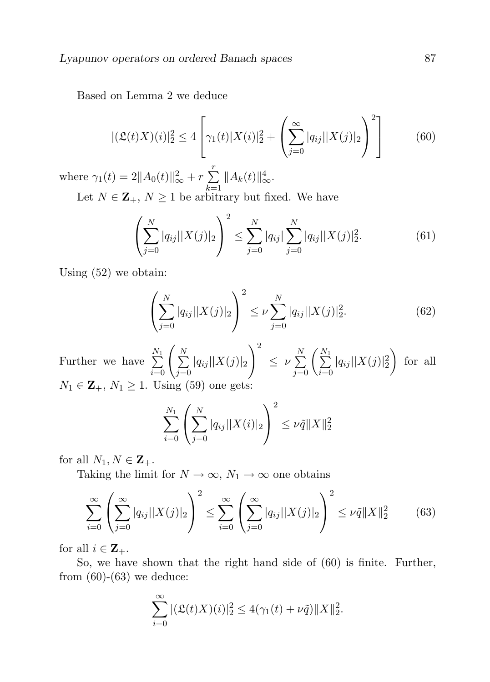Based on Lemma 2 we deduce

$$
|(\mathfrak{L}(t)X)(i)|_2^2 \le 4 \left[ \gamma_1(t)|X(i)|_2^2 + \left( \sum_{j=0}^{\infty} |q_{ij}| |X(j)|_2 \right)^2 \right] \tag{60}
$$

where  $\gamma_1(t) = 2||A_0(t)||_{\infty}^2 + r \sum_{ }^r$  $k=1$  $||A_k(t)||_{\infty}^4$ .

Let  $N \in \mathbb{Z}_+$ ,  $N \geq 1$  be arbitrary but fixed. We have

$$
\left(\sum_{j=0}^{N} |q_{ij}| |X(j)|_2\right)^2 \le \sum_{j=0}^{N} |q_{ij}| \sum_{j=0}^{N} |q_{ij}| |X(j)|_2^2.
$$
 (61)

Using (52) we obtain:

$$
\left(\sum_{j=0}^{N} |q_{ij}| |X(j)|_2\right)^2 \leq \nu \sum_{j=0}^{N} |q_{ij}| |X(j)|_2^2.
$$
 (62)

Further we have  $\sum_{i=0}^{N_1}$  $\sum_{i=1}^{N}$  $j=0$  $|q_{ij}| |X(j)|_2$  $\setminus^2$  $\leq \nu \sum\limits_{j=0}^N \left(\sum\limits_{i=0}^{N_1} \right)$  $i=0$  $|q_{ij}| |X(j)|_2^2$  $\int$  for all  $N_1 \in \mathbf{Z}_+$ ,  $N_1 \geq 1$ . Using (59) one gets:

$$
\sum_{i=0}^{N_1} \left( \sum_{j=0}^N |q_{ij}| |X(i)|_2 \right)^2 \leq \nu \tilde{q} \|X\|_2^2
$$

for all  $N_1, N \in \mathbf{Z}_+$ .

Taking the limit for  $N \to \infty$ ,  $N_1 \to \infty$  one obtains

$$
\sum_{i=0}^{\infty} \left( \sum_{j=0}^{\infty} |q_{ij}| |X(j)|_2 \right)^2 \le \sum_{i=0}^{\infty} \left( \sum_{j=0}^{\infty} |q_{ij}| |X(j)|_2 \right)^2 \le \nu \tilde{q} \|X\|_2^2 \tag{63}
$$

for all  $i \in \mathbf{Z}_{+}$ .

So, we have shown that the right hand side of (60) is finite. Further, from  $(60)$ - $(63)$  we deduce:

$$
\sum_{i=0}^{\infty} |(\mathfrak{L}(t)X)(i)|_2^2 \le 4(\gamma_1(t) + \nu \tilde{q}) \|X\|_2^2.
$$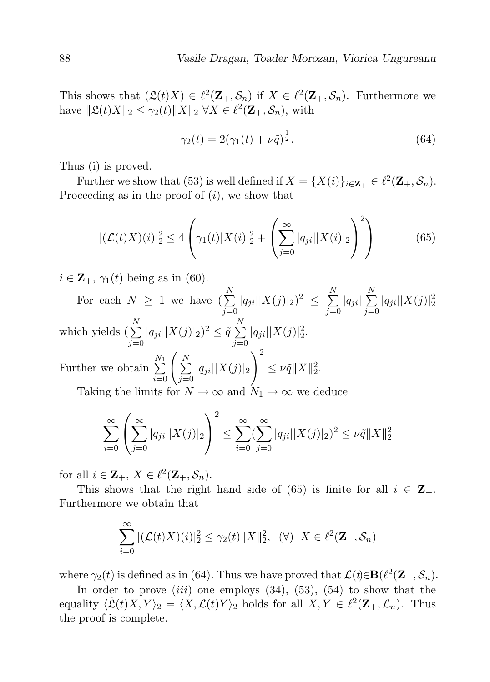This shows that  $(\mathfrak{L}(t)X) \in \ell^2(\mathbf{Z}_+, \mathcal{S}_n)$  if  $X \in \ell^2(\mathbf{Z}_+, \mathcal{S}_n)$ . Furthermore we have  $\|\mathfrak{L}(t)X\|_2 \leq \gamma_2(t) \|X\|_2 \ \forall X \in \ell^2(\mathbf{Z}_+, \mathcal{S}_n)$ , with

$$
\gamma_2(t) = 2(\gamma_1(t) + \nu \tilde{q})^{\frac{1}{2}}.
$$
\n(64)

Thus (i) is proved.

Further we show that (53) is well defined if  $X = \{X(i)\}_{i \in \mathbf{Z}_+} \in \ell^2(\mathbf{Z}_+, \mathcal{S}_n)$ . Proceeding as in the proof of  $(i)$ , we show that

$$
|(\mathcal{L}(t)X)(i)|_2^2 \le 4\left(\gamma_1(t)|X(i)|_2^2 + \left(\sum_{j=0}^{\infty} |q_{ji}||X(i)|_2\right)^2\right) \tag{65}
$$

 $i \in \mathbf{Z}_{+}$ ,  $\gamma_1(t)$  being as in (60).

For each  $N \geq 1$  we have  $\binom{N}{\sum}$  $j=0$  $|q_{ji}||X(j)|_2)^2 \leq \sum_{i=1}^{N}$  $j=0$  $|q_{ji}| \sum_{i=1}^{N}$  $j=0$  $|q_{ji}||X(j)|_2^2$ which yields  $(\sum_{n=1}^{N}$  $j=0$  $|q_{ji}||X(j)|_2)^2 \leq \tilde{q} \sum^N$  $j=0$  $|q_{ji}||X(j)|_2^2.$ Further we obtain  $\sum_{i=0}^{N_1}$  $\sum_{i=1}^{N}$  $j=0$  $|q_{ji}||X(j)|_2$  $\setminus^2$  $\leq \nu \tilde{q} \|X\|_2^2.$ Taking the limits for  $N \to \infty$  and  $N_1 \to \infty$  we deduce

$$
\sum_{i=0}^{\infty} \left( \sum_{j=0}^{\infty} |q_{ji}| |X(j)|_2 \right)^2 \le \sum_{i=0}^{\infty} \left( \sum_{j=0}^{\infty} |q_{ji}| |X(j)|_2 \right)^2 \le \nu \tilde{q} \|X\|_2^2
$$

for all  $i \in \mathbf{Z}_+$ ,  $X \in \ell^2(\mathbf{Z}_+,\mathcal{S}_n)$ .

This shows that the right hand side of (65) is finite for all  $i \in \mathbb{Z}_+$ . Furthermore we obtain that

$$
\sum_{i=0}^{\infty} |(\mathcal{L}(t)X)(i)|_2^2 \leq \gamma_2(t) ||X||_2^2, \quad (\forall) \quad X \in \ell^2(\mathbf{Z}_+, \mathcal{S}_n)
$$

where  $\gamma_2(t)$  is defined as in (64). Thus we have proved that  $\mathcal{L}(t) \in \mathbf{B}(\ell^2(\mathbf{Z}_+,\mathcal{S}_n)$ .

In order to prove  $(iii)$  one employs  $(34)$ ,  $(53)$ ,  $(54)$  to show that the equality  $\langle \tilde{\mathfrak{L}}(t)X, Y \rangle_2 = \langle X, \mathcal{L}(t)Y \rangle_2$  holds for all  $X, Y \in \ell^2(\mathbf{Z}_+, \mathcal{L}_n)$ . Thus the proof is complete.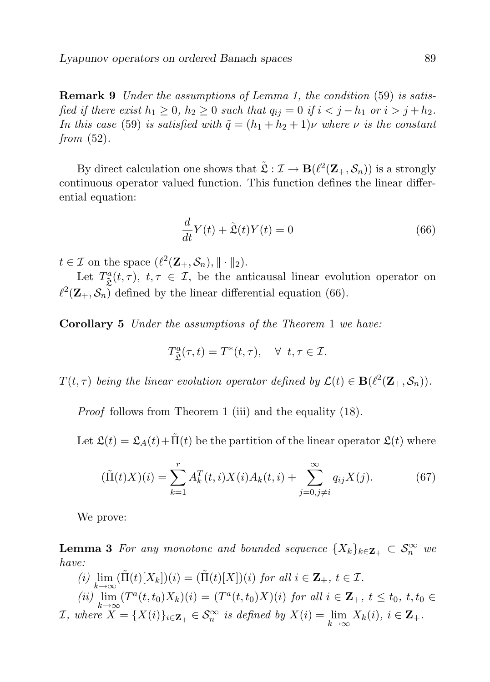Remark 9 Under the assumptions of Lemma 1, the condition (59) is satisfied if there exist  $h_1 \geq 0$ ,  $h_2 \geq 0$  such that  $q_{ij} = 0$  if  $i < j - h_1$  or  $i > j + h_2$ . In this case (59) is satisfied with  $\tilde{q} = (h_1 + h_2 + 1)\nu$  where  $\nu$  is the constant from  $(52)$ .

By direct calculation one shows that  $\tilde{\mathfrak{L}} : \mathcal{I} \to \mathbf{B}(\ell^2(\mathbf{Z}_+,\mathcal{S}_n))$  is a strongly continuous operator valued function. This function defines the linear differential equation:

$$
\frac{d}{dt}Y(t) + \tilde{\mathfrak{L}}(t)Y(t) = 0
$$
\n(66)

 $t \in \mathcal{I}$  on the space  $(\ell^2(\mathbf{Z}_+,\mathcal{S}_n), \|\cdot\|_2).$ 

Let  $T^a_{\tilde{\mathcal{L}}}(t,\tau)$ ,  $t,\tau \in \mathcal{I}$ , be the anticausal linear evolution operator on  $\ell^2(\mathbf{Z}_+, \mathcal{S}_n)$  defined by the linear differential equation (66).

Corollary 5 Under the assumptions of the Theorem 1 we have:

$$
T^a_{\tilde{\mathfrak{L}}}(\tau,t)=T^*(t,\tau),\quad \forall\;\;t,\tau\in\mathcal{I}.
$$

 $T(t, \tau)$  being the linear evolution operator defined by  $\mathcal{L}(t) \in \mathbf{B}(\ell^2(\mathbf{Z}_+, \mathcal{S}_n)).$ 

Proof follows from Theorem 1 (iii) and the equality (18).

Let  $\mathfrak{L}(t) = \mathfrak{L}_A(t) + \tilde{\Pi}(t)$  be the partition of the linear operator  $\mathfrak{L}(t)$  where

$$
(\tilde{\Pi}(t)X)(i) = \sum_{k=1}^{r} A_k^T(t, i)X(i)A_k(t, i) + \sum_{j=0, j \neq i}^{\infty} q_{ij}X(j).
$$
 (67)

We prove:

**Lemma 3** For any monotone and bounded sequence  $\{X_k\}_{k\in \mathbf{Z}_+} \subset \mathcal{S}_n^{\infty}$  we have:

(i)  $\lim_{k \to \infty} (\tilde{\Pi}(t)[X_k])(i) = (\tilde{\Pi}(t)[X])(i)$  for all  $i \in \mathbb{Z}_+, t \in \mathcal{I}$ . (ii)  $\lim_{k \to \infty} (T^a(t, t_0)X_k)(i) = (T^a(t, t_0)X)(i)$  for all  $i \in \mathbb{Z}_+$ ,  $t \le t_0$ ,  $t, t_0 \in$  $\mathcal{I}, \text{ where } X = \{X(i)\}_{i \in \mathbf{Z}_+} \in \mathcal{S}_n^{\infty} \text{ is defined by } X(i) = \lim_{k \to \infty} X_k(i), i \in \mathbf{Z}_+.\}$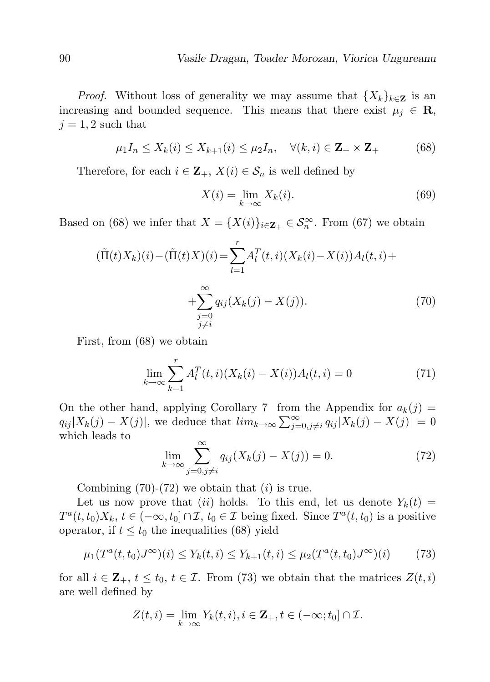*Proof.* Without loss of generality we may assume that  ${X_k}_{k \in \mathbb{Z}}$  is an increasing and bounded sequence. This means that there exist  $\mu_j \in \mathbf{R}$ ,  $j = 1, 2$  such that

$$
\mu_1 I_n \le X_k(i) \le X_{k+1}(i) \le \mu_2 I_n, \quad \forall (k, i) \in \mathbf{Z}_+ \times \mathbf{Z}_+ \tag{68}
$$

Therefore, for each  $i \in \mathbf{Z}_+$ ,  $X(i) \in \mathcal{S}_n$  is well defined by

$$
X(i) = \lim_{k \to \infty} X_k(i). \tag{69}
$$

Based on (68) we infer that  $X = \{X(i)\}_{i \in \mathbf{Z}_+} \in \mathcal{S}_n^{\infty}$ . From (67) we obtain

$$
(\tilde{\Pi}(t)X_k)(i) - (\tilde{\Pi}(t)X)(i) = \sum_{l=1}^r A_l^T(t, i)(X_k(i) - X(i))A_l(t, i) + \sum_{\substack{j=0 \ j \neq i}}^{\infty} q_{ij}(X_k(j) - X(j)).
$$
\n(70)

First, from (68) we obtain

$$
\lim_{k \to \infty} \sum_{k=1}^{r} A_l^T(t, i) (X_k(i) - X(i)) A_l(t, i) = 0
$$
\n(71)

On the other hand, applying Corollary 7 from the Appendix for  $a_k(j)$  $q_{ij} |X_k(j) - X(j)|$ , we deduce that  $\lim_{k \to \infty} \sum_{j=0, j \neq i}^{\infty} q_{ij} |X_k(j) - X(j)| = 0$ which leads to

$$
\lim_{k \to \infty} \sum_{j=0, j \neq i}^{\infty} q_{ij} (X_k(j) - X(j)) = 0.
$$
 (72)

Combining  $(70)-(72)$  we obtain that  $(i)$  is true.

Let us now prove that (ii) holds. To this end, let us denote  $Y_k(t) =$  $T^a(t,t_0)X_k, t \in (-\infty, t_0] \cap \mathcal{I}, t_0 \in \mathcal{I}$  being fixed. Since  $T^a(t,t_0)$  is a positive operator, if  $t \leq t_0$  the inequalities (68) yield

$$
\mu_1(T^a(t, t_0)J^\infty)(i) \le Y_k(t, i) \le Y_{k+1}(t, i) \le \mu_2(T^a(t, t_0)J^\infty)(i) \tag{73}
$$

for all  $i \in \mathbf{Z}_+$ ,  $t \leq t_0$ ,  $t \in \mathcal{I}$ . From (73) we obtain that the matrices  $Z(t, i)$ are well defined by

$$
Z(t,i) = \lim_{k \to \infty} Y_k(t,i), i \in \mathbf{Z}_+, t \in (-\infty; t_0] \cap \mathcal{I}.
$$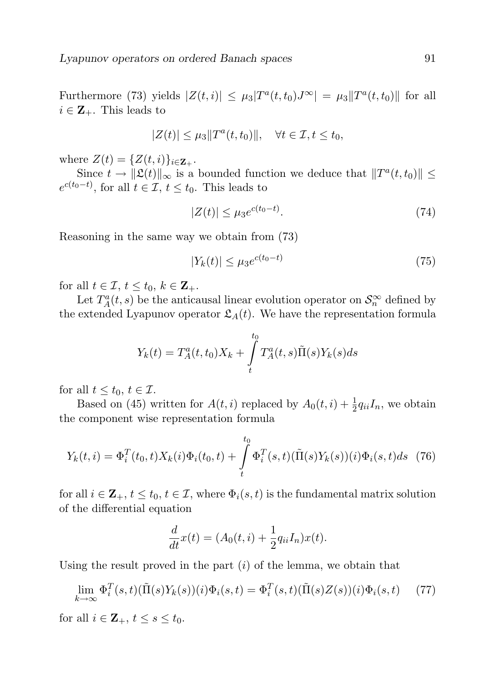Furthermore (73) yields  $|Z(t, i)| \leq \mu_3 |T^a(t, t_0) J^{\infty}| = \mu_3 ||T^a(t, t_0)||$  for all  $i \in \mathbf{Z}_{+}$ . This leads to

$$
|Z(t)| \leq \mu_3 ||T^a(t, t_0)||, \quad \forall t \in \mathcal{I}, t \leq t_0,
$$

where  $Z(t) = \{Z(t, i)\}_{i \in \mathbf{Z}_+}$ .

Since  $t \to \|\mathfrak{L}(t)\|_{\infty}$  is a bounded function we deduce that  $\|T^{a}(t,t_0)\| \leq$  $e^{c(t_0-t)}$ , for all  $t \in \mathcal{I}$ ,  $t \leq t_0$ . This leads to

$$
|Z(t)| \le \mu_3 e^{c(t_0 - t)}.\tag{74}
$$

Reasoning in the same way we obtain from (73)

$$
|Y_k(t)| \le \mu_3 e^{c(t_0 - t)} \tag{75}
$$

for all  $t \in \mathcal{I}$ ,  $t \leq t_0$ ,  $k \in \mathbf{Z}_+$ .

Let  $T_A^a(t, s)$  be the anticausal linear evolution operator on  $\mathcal{S}_n^{\infty}$  defined by the extended Lyapunov operator  $\mathfrak{L}_A(t)$ . We have the representation formula

$$
Y_{k}(t) = T_{A}^{a}(t, t_{0})X_{k} + \int_{t}^{t_{0}} T_{A}^{a}(t, s)\tilde{\Pi}(s)Y_{k}(s)ds
$$

for all  $t \leq t_0, t \in \mathcal{I}$ .

Based on (45) written for  $A(t, i)$  replaced by  $A_0(t, i) + \frac{1}{2}q_{ii}I_n$ , we obtain the component wise representation formula

$$
Y_k(t,i) = \Phi_i^T(t_0, t) X_k(i) \Phi_i(t_0, t) + \int_t^{t_0} \Phi_i^T(s, t) (\tilde{\Pi}(s) Y_k(s))(i) \Phi_i(s, t) ds
$$
 (76)

for all  $i \in \mathbf{Z}_+$ ,  $t \leq t_0$ ,  $t \in \mathcal{I}$ , where  $\Phi_i(s,t)$  is the fundamental matrix solution of the differential equation

$$
\frac{d}{dt}x(t) = (A_0(t, i) + \frac{1}{2}q_{ii}I_n)x(t).
$$

Using the result proved in the part  $(i)$  of the lemma, we obtain that

$$
\lim_{k \to \infty} \Phi_i^T(s, t)(\tilde{\Pi}(s)Y_k(s))(i)\Phi_i(s, t) = \Phi_i^T(s, t)(\tilde{\Pi}(s)Z(s))(i)\Phi_i(s, t)
$$
(77)

for all  $i \in \mathbf{Z}_+$ ,  $t \leq s \leq t_0$ .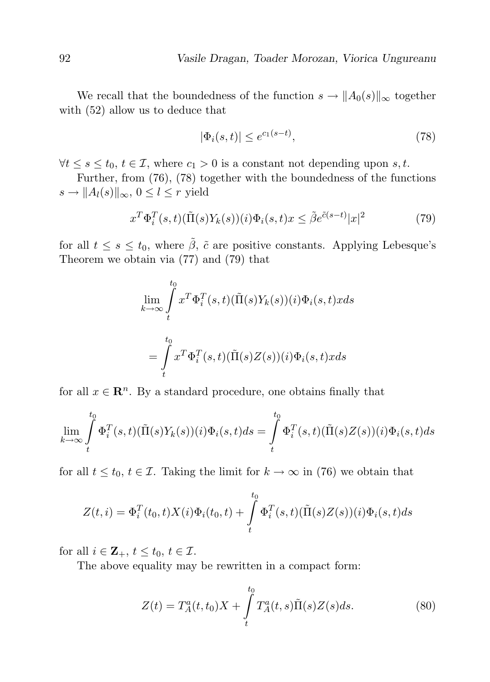We recall that the boundedness of the function  $s \to ||A_0(s)||_{\infty}$  together with (52) allow us to deduce that

$$
|\Phi_i(s,t)| \le e^{c_1(s-t)},\tag{78}
$$

 $\forall t \leq s \leq t_0, t \in \mathcal{I}$ , where  $c_1 > 0$  is a constant not depending upon s, t.

Further, from (76), (78) together with the boundedness of the functions  $s \to ||A_l(s)||_{\infty}, 0 \leq l \leq r$  yield

$$
x^T \Phi_i^T(s, t) (\tilde{\Pi}(s) Y_k(s)) (i) \Phi_i(s, t) x \le \tilde{\beta} e^{\tilde{c}(s-t)} |x|^2 \tag{79}
$$

for all  $t \leq s \leq t_0$ , where  $\tilde{\beta}$ ,  $\tilde{c}$  are positive constants. Applying Lebesque's Theorem we obtain via (77) and (79) that

$$
\lim_{k \to \infty} \int_{t}^{t_0} x^T \Phi_i^T(s, t) (\tilde{\Pi}(s) Y_k(s)) (i) \Phi_i(s, t) x ds
$$

$$
= \int_{t}^{t_0} x^T \Phi_i^T(s, t) (\tilde{\Pi}(s) Z(s)) (i) \Phi_i(s, t) x ds
$$

for all  $x \in \mathbb{R}^n$ . By a standard procedure, one obtains finally that

$$
\lim_{k \to \infty} \int_{t}^{t_0} \Phi_i^T(s, t) (\tilde{\Pi}(s)Y_k(s))(i) \Phi_i(s, t) ds = \int_{t}^{t_0} \Phi_i^T(s, t) (\tilde{\Pi}(s)Z(s))(i) \Phi_i(s, t) ds
$$

for all  $t \leq t_0, t \in \mathcal{I}$ . Taking the limit for  $k \to \infty$  in (76) we obtain that

$$
Z(t,i) = \Phi_i^T(t_0,t)X(i)\Phi_i(t_0,t) + \int_t^{t_0} \Phi_i^T(s,t)(\tilde{\Pi}(s)Z(s))(i)\Phi_i(s,t)ds
$$

for all  $i \in \mathbf{Z}_+$ ,  $t \leq t_0$ ,  $t \in \mathcal{I}$ .

The above equality may be rewritten in a compact form:

$$
Z(t) = T_A^a(t, t_0)X + \int\limits_t^{t_0} T_A^a(t, s)\tilde{\Pi}(s)Z(s)ds.
$$
 (80)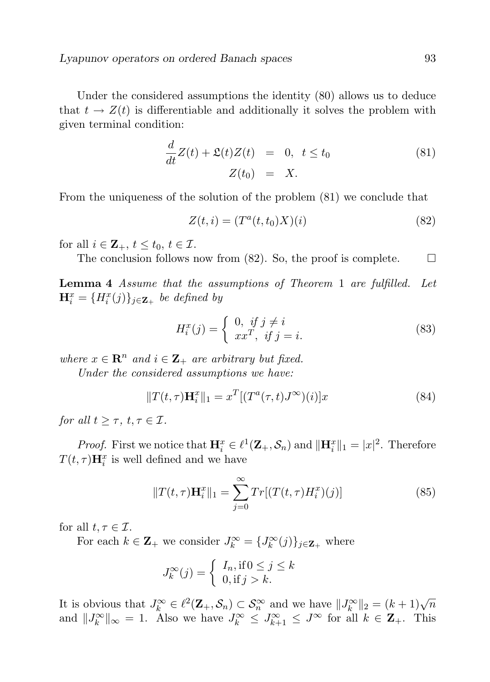Under the considered assumptions the identity (80) allows us to deduce that  $t \to Z(t)$  is differentiable and additionally it solves the problem with given terminal condition:

$$
\frac{d}{dt}Z(t) + \mathfrak{L}(t)Z(t) = 0, \ t \le t_0
$$
\n
$$
Z(t_0) = X.
$$
\n(81)

From the uniqueness of the solution of the problem (81) we conclude that

$$
Z(t, i) = (Ta(t, t0)X)(i)
$$
\n(82)

for all  $i \in \mathbb{Z}_+$ ,  $t \leq t_0$ ,  $t \in \mathcal{I}$ .

The conclusion follows now from  $(82)$ . So, the proof is complete.  $\Box$ 

Lemma 4 Assume that the assumptions of Theorem 1 are fulfilled. Let  $\mathbf{H}_{i}^{x} = \{H_{i}^{x}(j)\}_{j\in\mathbf{Z}_{+}}$  be defined by

$$
H_i^x(j) = \begin{cases} 0, & if j \neq i \\ xx^T, & if j = i. \end{cases}
$$
 (83)

where  $x \in \mathbb{R}^n$  and  $i \in \mathbb{Z}_+$  are arbitrary but fixed.

Under the considered assumptions we have:

$$
||T(t,\tau)\mathbf{H}_i^x||_1 = x^T[(T^a(\tau,t)J^\infty)(i)]x
$$
\n(84)

for all  $t \geq \tau$ ,  $t, \tau \in \mathcal{I}$ .

*Proof.* First we notice that  $\mathbf{H}_i^x \in \ell^1(\mathbf{Z}_+, \mathcal{S}_n)$  and  $\|\mathbf{H}_i^x\|_1 = |x|^2$ . Therefore  $T(t,\tau)\mathbf{H}_{i}^{x}$  is well defined and we have

$$
||T(t,\tau)\mathbf{H}_{i}^{x}||_{1} = \sum_{j=0}^{\infty} Tr[(T(t,\tau)H_{i}^{x})(j)] \qquad (85)
$$

for all  $t, \tau \in \mathcal{I}$ .

For each  $k \in \mathbf{Z}_+$  we consider  $J_k^{\infty} = \{J_k^{\infty}(j)\}_{j \in \mathbf{Z}_+}$  where

$$
J_k^{\infty}(j) = \begin{cases} I_n, \text{if } 0 \le j \le k \\ 0, \text{if } j > k. \end{cases}
$$

It is obvious that  $J_k^{\infty} \in \ell^2(\mathbf{Z}_+, \mathcal{S}_n) \subset \mathcal{S}_n^{\infty}$  and we have  $||J_k^{\infty}||_2 = (k+1)\sqrt{n}$ and  $||J_k^{\infty}||_{\infty} = 1$ . Also we have  $J_k^{\infty} \leq J_{k+1}^{\infty} \leq J^{\infty}$  for all  $k \in \mathbb{Z}_+$ . This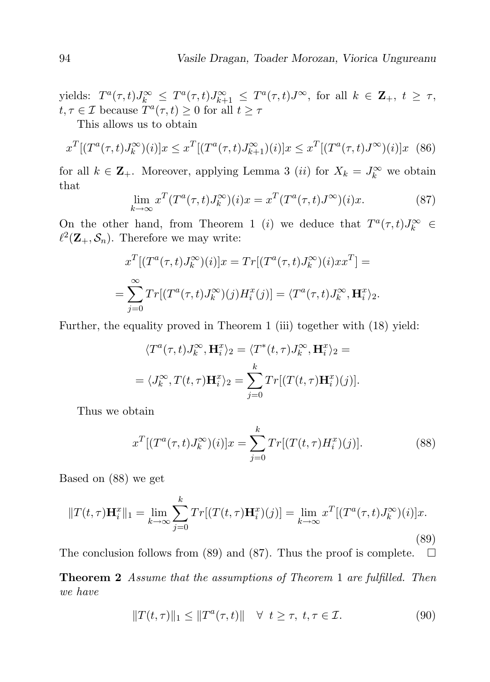yields:  $T^a(\tau,t)J_k^{\infty} \leq T^a(\tau,t)J_{k+1}^{\infty} \leq T^a(\tau,t)J^{\infty}$ , for all  $k \in \mathbb{Z}_+$ ,  $t \geq \tau$ ,  $t, \tau \in \mathcal{I}$  because  $\overline{T}^a(\tau, t) \geq 0$  for all  $t \geq \tau$ 

This allows us to obtain

$$
x^{T}[(T^{a}(\tau,t)J_{k}^{\infty})(i)]x \leq x^{T}[(T^{a}(\tau,t)J_{k+1}^{\infty})(i)]x \leq x^{T}[(T^{a}(\tau,t)J^{\infty})(i)]x \quad (86)
$$

for all  $k \in \mathbb{Z}_+$ . Moreover, applying Lemma 3 (*ii*) for  $X_k = J_k^{\infty}$  we obtain that

$$
\lim_{k \to \infty} x^T (T^a(\tau, t) J_k^{\infty})(i) x = x^T (T^a(\tau, t) J^{\infty})(i) x.
$$
 (87)

On the other hand, from Theorem 1 (*i*) we deduce that  $T^a(\tau, t)J_k^{\infty} \in$  $\ell^2(\mathbf{Z}_+,\mathcal{S}_n)$ . Therefore we may write:

$$
x^T[(T^a(\tau,t)J_k^{\infty})(i)]x = Tr[(T^a(\tau,t)J_k^{\infty})(i)xx^T] =
$$
  
= 
$$
\sum_{j=0}^{\infty} Tr[(T^a(\tau,t)J_k^{\infty})(j)H_i^x(j)] = \langle T^a(\tau,t)J_k^{\infty}, \mathbf{H}_i^x \rangle_2.
$$

Further, the equality proved in Theorem 1 (iii) together with (18) yield:

$$
\langle T^a(\tau, t) J_k^{\infty}, \mathbf{H}_i^x \rangle_2 = \langle T^*(t, \tau) J_k^{\infty}, \mathbf{H}_i^x \rangle_2 =
$$
  
= 
$$
\langle J_k^{\infty}, T(t, \tau) \mathbf{H}_i^x \rangle_2 = \sum_{j=0}^k Tr[(T(t, \tau) \mathbf{H}_i^x)(j)].
$$

Thus we obtain

$$
x^{T}[(T^{a}(\tau,t)J_{k}^{\infty})(i)]x = \sum_{j=0}^{k} Tr[(T(t,\tau)H_{i}^{x})(j)].
$$
\n(88)

Based on (88) we get

$$
||T(t,\tau)\mathbf{H}_i^x||_1 = \lim_{k \to \infty} \sum_{j=0}^k Tr[(T(t,\tau)\mathbf{H}_i^x)(j)] = \lim_{k \to \infty} x^T[(T^a(\tau,t)J_k^\infty)(i)]x.
$$
\n(89)

The conclusion follows from (89) and (87). Thus the proof is complete.  $\Box$ 

Theorem 2 Assume that the assumptions of Theorem 1 are fulfilled. Then we have

$$
||T(t,\tau)||_1 \le ||T^a(\tau,t)|| \quad \forall \ \ t \ge \tau, \ t, \tau \in \mathcal{I}.
$$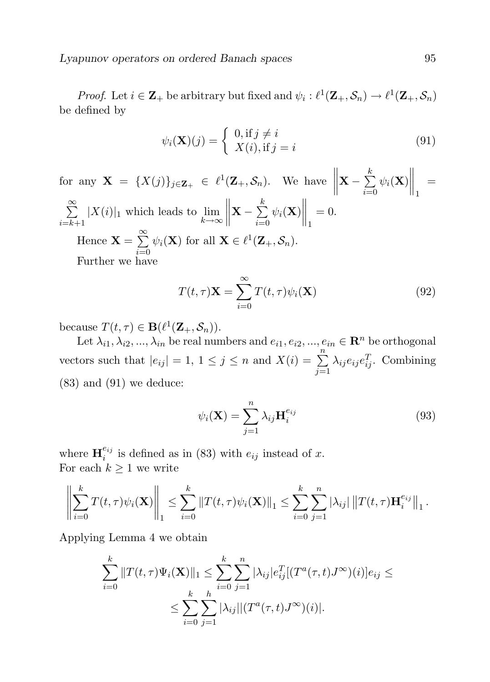*Proof.* Let  $i \in \mathbf{Z}_+$  be arbitrary but fixed and  $\psi_i : \ell^1(\mathbf{Z}_+,\mathcal{S}_n) \to \ell^1(\mathbf{Z}_+,\mathcal{S}_n)$ be defined by

$$
\psi_i(\mathbf{X})(j) = \begin{cases} 0, \text{if } j \neq i \\ X(i), \text{if } j = i \end{cases}
$$
\n(91)

for any  $\mathbf{X} = \{X(j)\}_{j \in \mathbf{Z}_+} \in \ell^1(\mathbf{Z}_+, \mathcal{S}_n)$ . We have  $\mathbf{X}-\sum^{k}$  $i=0$  $\psi_i(\mathbf{X})\bigg\|_1$ =  $\sum_{i=1}^{\infty}$  $\scriptstyle i=k+1$  $|X(i)|_1$  which leads to  $\lim_{k \to \infty}$  $\begin{array}{c} \hline \end{array}$  $\mathbf{X}-\sum^{k}$  $i=0$  $\psi_i(\mathbf{X})\Big\|_1$  $= 0.$ Hence  $\mathbf{X} = \sum_{n=1}^{\infty}$  $i=0$  $\psi_i(\mathbf{X})$  for all  $\mathbf{X} \in \ell^1(\mathbf{Z}_+, \mathcal{S}_n)$ . Further we have

$$
T(t,\tau)\mathbf{X} = \sum_{i=0}^{\infty} T(t,\tau)\psi_i(\mathbf{X})
$$
\n(92)

because  $T(t, \tau) \in \mathbf{B}(\ell^1(\mathbf{Z}_+, \mathcal{S}_n)).$ 

Let  $\lambda_{i1}, \lambda_{i2}, ..., \lambda_{in}$  be real numbers and  $e_{i1}, e_{i2}, ..., e_{in} \in \mathbb{R}^n$  be orthogonal vectors such that  $|e_{ij}| = 1, 1 \le j \le n$  and  $X(i) = \sum_{i=1}^{n}$  $j=1$  $\lambda_{ij} e_{ij} e_{ij}^T$ . Combining  $(83)$  and  $(91)$  we deduce:

$$
\psi_i(\mathbf{X}) = \sum_{j=1}^n \lambda_{ij} \mathbf{H}_i^{e_{ij}}
$$
\n(93)

where  $\mathbf{H}_{i}^{e_{ij}}$  $e_{ij}^{ij}$  is defined as in (83) with  $e_{ij}$  instead of x. For each  $k \geq 1$  we write

$$
\left\| \sum_{i=0}^k T(t,\tau) \psi_i(\mathbf{X}) \right\|_1 \leq \sum_{i=0}^k \left\| T(t,\tau) \psi_i(\mathbf{X}) \right\|_1 \leq \sum_{i=0}^k \sum_{j=1}^n |\lambda_{ij}| \left\| T(t,\tau) \mathbf{H}_i^{e_{ij}} \right\|_1.
$$

Applying Lemma 4 we obtain

$$
\sum_{i=0}^{k} ||T(t,\tau)\Psi_i(\mathbf{X})||_1 \leq \sum_{i=0}^{k} \sum_{j=1}^{n} |\lambda_{ij}| e_{ij}^T [(T^a(\tau,t)J^{\infty})(i)] e_{ij} \leq
$$
  

$$
\leq \sum_{i=0}^{k} \sum_{j=1}^{n} |\lambda_{ij}| |(T^a(\tau,t)J^{\infty})(i)|.
$$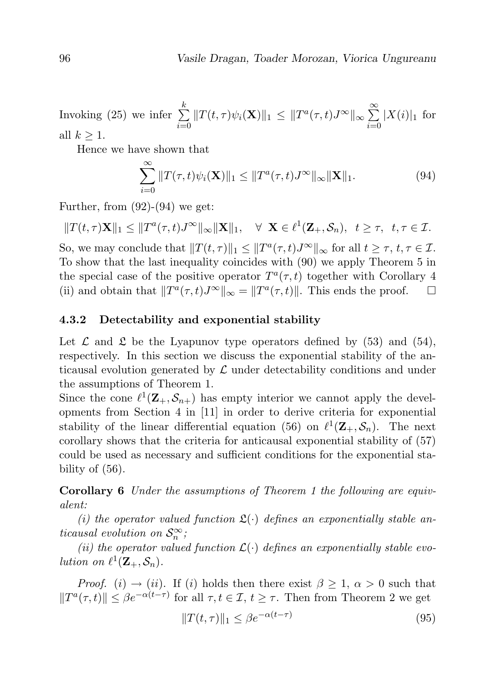Invoking (25) we infer  $\sum_{k=1}^{k}$  $i=0$  $||T(t,\tau)\psi_i(\mathbf{X})||_1 \leq ||T^a(\tau,t)J^{\infty}||_{\infty} \sum_{n=1}^{\infty}$  $i=0$  $|X(i)|_1$  for all  $k \geq 1$ .

Hence we have shown that

$$
\sum_{i=0}^{\infty} ||T(\tau,t)\psi_i(\mathbf{X})||_1 \le ||T^a(\tau,t)J^\infty||_\infty ||\mathbf{X}||_1.
$$
\n(94)

Further, from  $(92)-(94)$  we get:

 $||T(t,\tau)\mathbf{X}||_1 \leq ||T^a(\tau,t)J^{\infty}||_{\infty} ||\mathbf{X}||_1, \quad \forall \mathbf{X} \in \ell^1(\mathbf{Z}_+, \mathcal{S}_n), \quad t \geq \tau, \quad t, \tau \in \mathcal{I}.$ 

So, we may conclude that  $||T(t, \tau)||_1 \leq ||T^a(\tau, t)J^{\infty}||_{\infty}$  for all  $t \geq \tau$ ,  $t, \tau \in \mathcal{I}$ . To show that the last inequality coincides with (90) we apply Theorem 5 in the special case of the positive operator  $T^a(\tau, t)$  together with Corollary 4 (ii) and obtain that  $||T^a(\tau, t)J^{\infty}||_{\infty} = ||T^a(\tau, t)||$ . This ends the proof.  $\square$ 

#### 4.3.2 Detectability and exponential stability

Let  $\mathcal L$  and  $\mathfrak L$  be the Lyapunov type operators defined by (53) and (54), respectively. In this section we discuss the exponential stability of the anticausal evolution generated by  $\mathcal L$  under detectability conditions and under the assumptions of Theorem 1.

Since the cone  $\ell^1(\mathbf{Z}_+,\mathcal{S}_{n+})$  has empty interior we cannot apply the developments from Section 4 in [11] in order to derive criteria for exponential stability of the linear differential equation (56) on  $\ell^1(\mathbf{Z}_+,\mathcal{S}_n)$ . The next corollary shows that the criteria for anticausal exponential stability of (57) could be used as necessary and sufficient conditions for the exponential stability of (56).

Corollary 6 Under the assumptions of Theorem 1 the following are equivalent:

(i) the operator valued function  $\mathfrak{L}(\cdot)$  defines an exponentially stable anticausal evolution on  $\mathcal{S}_n^{\infty}$ ;

(ii) the operator valued function  $\mathcal{L}(\cdot)$  defines an exponentially stable evolution on  $\ell^1(\mathbf{Z}_+, \mathcal{S}_n)$ .

*Proof.* (i)  $\rightarrow$  (ii). If (i) holds then there exist  $\beta \geq 1$ ,  $\alpha > 0$  such that  $||T^a(\tau, t)|| \leq \beta e^{-\alpha(t-\tau)}$  for all  $\tau, t \in \mathcal{I}, t \geq \tau$ . Then from Theorem 2 we get

$$
||T(t,\tau)||_1 \le \beta e^{-\alpha(t-\tau)}\tag{95}
$$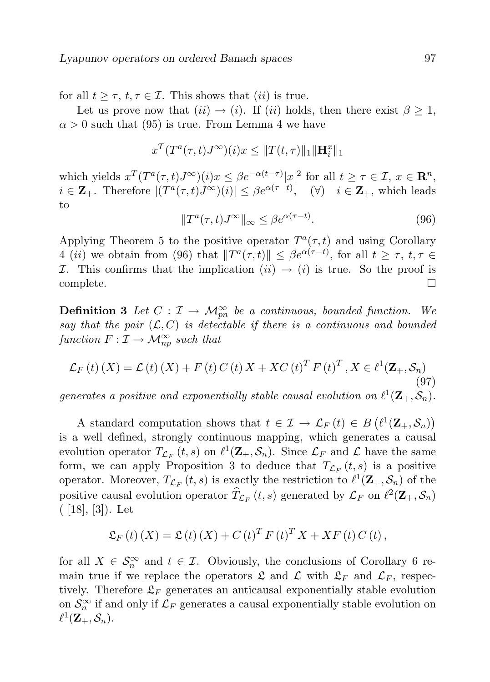for all  $t \geq \tau$ ,  $t, \tau \in \mathcal{I}$ . This shows that *(ii)* is true.

Let us prove now that  $(ii) \rightarrow (i)$ . If  $(ii)$  holds, then there exist  $\beta \geq 1$ ,  $\alpha > 0$  such that (95) is true. From Lemma 4 we have

$$
x^T(T^a(\tau,t)J^\infty)(i)x \leq ||T(t,\tau)||_1||\mathbf{H}_i^x||_1
$$

which yields  $x^T(T^a(\tau,t)J^{\infty})(i)x \leq \beta e^{-\alpha(t-\tau)}|x|^2$  for all  $t \geq \tau \in \mathcal{I}, x \in \mathbb{R}^n$ ,  $i \in \mathbf{Z}_{+}$ . Therefore  $|(T^a(\tau,t)J^{\infty})(i)| \leq \beta e^{\alpha(\tau-t)}$ ,  $(\forall)$   $i \in \mathbf{Z}_{+}$ , which leads to

$$
||T^{a}(\tau,t)J^{\infty}||_{\infty} \leq \beta e^{\alpha(\tau-t)}.
$$
\n(96)

Applying Theorem 5 to the positive operator  $T^a(\tau, t)$  and using Corollary 4 (*ii*) we obtain from (96) that  $||T^a(\tau, t)|| \leq \beta e^{\alpha(\tau - t)}$ , for all  $t \geq \tau$ ,  $t, \tau \in$ I. This confirms that the implication  $(ii) \rightarrow (i)$  is true. So the proof is complete. □

**Definition 3** Let  $C: \mathcal{I} \to \mathcal{M}_{pn}^{\infty}$  be a continuous, bounded function. We say that the pair  $(\mathcal{L}, C)$  is detectable if there is a continuous and bounded function  $F: \mathcal{I} \to \mathcal{M}_{np}^{\infty}$  such that

$$
\mathcal{L}_F\left(t\right)\left(X\right) = \mathcal{L}\left(t\right)\left(X\right) + F\left(t\right)C\left(t\right)X + XC\left(t\right)^T F\left(t\right)^T, X \in \ell^1(\mathbf{Z}_+, \mathcal{S}_n) \tag{97}
$$

generates a positive and exponentially stable causal evolution on  $\ell^1(\mathbf{Z}_+,\mathcal{S}_n)$ .

A standard computation shows that  $t \in \mathcal{I} \to \mathcal{L}_F(t) \in B(\ell^1(\mathbf{Z}_+, \mathcal{S}_n))$ is a well defined, strongly continuous mapping, which generates a causal evolution operator  $T_{\mathcal{L}_F}(t,s)$  on  $\ell^1(\mathbf{Z}_+, \mathcal{S}_n)$ . Since  $\mathcal{L}_F$  and  $\mathcal{L}$  have the same form, we can apply Proposition 3 to deduce that  $T_{\mathcal{L}_F}(t, s)$  is a positive operator. Moreover,  $T_{\mathcal{L}_F}(t, s)$  is exactly the restriction to  $\ell^1(\mathbf{Z}_+, \mathcal{S}_n)$  of the positive causal evolution operator  $\hat{T}_{\mathcal{L}_F}(t, s)$  generated by  $\mathcal{L}_F$  on  $\ell^2(\mathbf{Z}_+, \mathcal{S}_n)$  $($  [18], [3]). Let

$$
\mathfrak{L}_{F}(t)(X) = \mathfrak{L}(t)(X) + C(t)^{T} F(t)^{T} X + XF(t) C(t),
$$

for all  $X \in \mathcal{S}_n^{\infty}$  and  $t \in \mathcal{I}$ . Obviously, the conclusions of Corollary 6 remain true if we replace the operators  $\mathfrak{L}$  and  $\mathfrak{L}_F$  and  $\mathfrak{L}_F$ , respectively. Therefore  $\mathfrak{L}_F$  generates an anticausal exponentially stable evolution on  $\mathcal{S}_n^{\infty}$  if and only if  $\mathcal{L}_F$  generates a causal exponentially stable evolution on  $\ell^1({\bf Z}_+,{\cal S}_n).$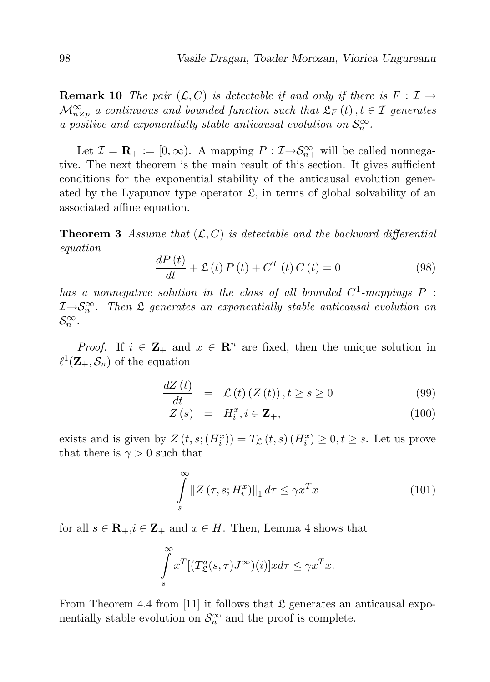**Remark 10** The pair  $(\mathcal{L}, C)$  is detectable if and only if there is  $F : \mathcal{I} \to$  $\mathcal{M}_{n\times p}^{\infty}$  a continuous and bounded function such that  $\mathfrak{L}_F(t)$ ,  $t \in \mathcal{I}$  generates a positive and exponentially stable anticausal evolution on  $S_n^{\infty}$ .

Let  $\mathcal{I} = \mathbf{R}_{+} := [0, \infty)$ . A mapping  $P : \mathcal{I} \rightarrow \mathcal{S}_{n+}^{\infty}$  will be called nonnegative. The next theorem is the main result of this section. It gives sufficient conditions for the exponential stability of the anticausal evolution generated by the Lyapunov type operator  $\mathfrak{L}$ , in terms of global solvability of an associated affine equation.

**Theorem 3** Assume that  $(L, C)$  is detectable and the backward differential equation

$$
\frac{dP(t)}{dt} + \mathfrak{L}(t) P(t) + C^{T}(t) C(t) = 0
$$
\n(98)

has a nonnegative solution in the class of all bounded  $C^1$ -mappings  $P$ :  $\mathcal{I} \rightarrow \mathcal{S}_n^{\infty}$ . Then  $\mathfrak L$  generates an exponentially stable anticausal evolution on  $\mathcal{S}_n^{\infty}$ .

*Proof.* If  $i \in \mathbf{Z}_+$  and  $x \in \mathbf{R}^n$  are fixed, then the unique solution in  $\ell^1(\mathbf{Z}_+, \mathcal{S}_n)$  of the equation

$$
\frac{dZ\left(t\right)}{dt} = \mathcal{L}\left(t\right)\left(Z\left(t\right)\right), t \ge s \ge 0 \tag{99}
$$

$$
Z(s) = H_i^x, i \in \mathbf{Z}_+, \tag{100}
$$

exists and is given by  $Z(t, s; (H_i^x)) = T_{\mathcal{L}}(t, s)$   $(H_i^x) \geq 0, t \geq s$ . Let us prove that there is  $\gamma > 0$  such that

$$
\int_{s}^{\infty} \|Z(\tau, s; H_i^x)\|_1 d\tau \le \gamma x^T x \tag{101}
$$

for all  $s \in \mathbf{R}_+, i \in \mathbf{Z}_+$  and  $x \in H$ . Then, Lemma 4 shows that

$$
\int_{s}^{\infty} x^{T} [(T_{\mathfrak{L}}^{a}(s,\tau)J^{\infty})(i)]x d\tau \leq \gamma x^{T} x.
$$

From Theorem 4.4 from [11] it follows that  $\mathfrak L$  generates an anticausal exponentially stable evolution on  $\mathcal{S}_n^{\infty}$  and the proof is complete.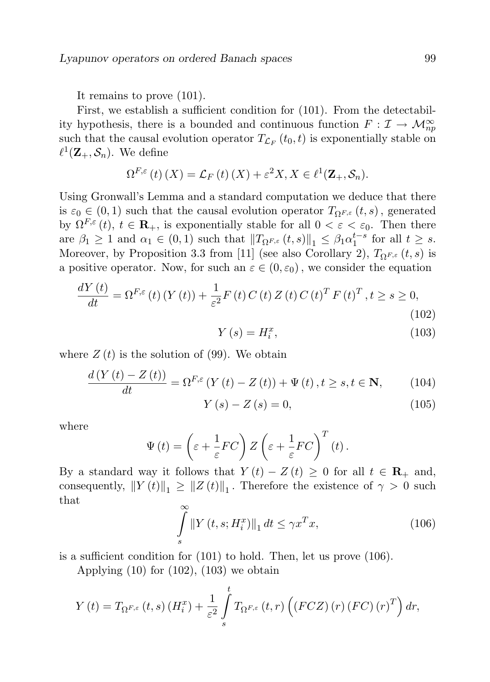It remains to prove (101).

First, we establish a sufficient condition for (101). From the detectability hypothesis, there is a bounded and continuous function  $F: \mathcal{I} \to \mathcal{M}_{np}^{\infty}$ such that the causal evolution operator  $T_{\mathcal{L}_F}(t_0, t)$  is exponentially stable on  $\ell^1(\mathbf{Z}_+, \mathcal{S}_n)$ . We define

$$
\Omega^{F,\varepsilon}(t)(X) = \mathcal{L}_F(t)(X) + \varepsilon^2 X, X \in \ell^1(\mathbf{Z}_+, \mathcal{S}_n).
$$

Using Gronwall's Lemma and a standard computation we deduce that there is  $\varepsilon_0 \in (0,1)$  such that the causal evolution operator  $T_{\Omega^{F,\varepsilon}}(t,s)$ , generated by  $\Omega^{F,\varepsilon}(t)$ ,  $t \in \mathbf{R}_+$ , is exponentially stable for all  $0 < \varepsilon < \varepsilon_0$ . Then there are  $\beta_1 \geq 1$  and  $\alpha_1 \in (0,1)$  such that  $||T_{\Omega^{F,\varepsilon}}(t,s)||_1 \leq \beta_1 \alpha_1^{t-s}$  for all  $t \geq s$ . Moreover, by Proposition 3.3 from [11] (see also Corollary 2),  $T_{\Omega^{F,\varepsilon}}(t,s)$  is a positive operator. Now, for such an  $\varepsilon \in (0, \varepsilon_0)$ , we consider the equation

$$
\frac{dY(t)}{dt} = \Omega^{F,\varepsilon}(t) \left(Y(t)\right) + \frac{1}{\varepsilon^2} F\left(t\right) C\left(t\right) Z\left(t\right) C\left(t\right)^T F\left(t\right)^T, t \ge s \ge 0,
$$
\n(102)

$$
Y\left(s\right) = H_i^x,\tag{103}
$$

where  $Z(t)$  is the solution of (99). We obtain

$$
\frac{d\left(Y\left(t\right) - Z\left(t\right)\right)}{dt} = \Omega^{F,\varepsilon}\left(Y\left(t\right) - Z\left(t\right)\right) + \Psi\left(t\right), t \ge s, t \in \mathbf{N},\qquad(104)
$$

$$
Y(s) - Z(s) = 0,\t(105)
$$

where

$$
\Psi(t) = \left(\varepsilon + \frac{1}{\varepsilon}FC\right)Z\left(\varepsilon + \frac{1}{\varepsilon}FC\right)^T(t).
$$

By a standard way it follows that  $Y(t) - Z(t) \geq 0$  for all  $t \in \mathbb{R}_+$  and, consequently,  $||Y(t)||_1 \ge ||Z(t)||_1$ . Therefore the existence of  $\gamma > 0$  such that  $\infty$ 

$$
\int_{s}^{\infty} \left\| Y \left( t, s; H_{i}^{x} \right) \right\|_{1} dt \leq \gamma x^{T} x,
$$
\n(106)

is a sufficient condition for (101) to hold. Then, let us prove (106).

Applying  $(10)$  for  $(102)$ ,  $(103)$  we obtain

$$
Y(t) = T_{\Omega^{F,\varepsilon}}(t,s) \left( H_i^x \right) + \frac{1}{\varepsilon^2} \int_s^t T_{\Omega^{F,\varepsilon}}(t,r) \left( \left( FCZ \right) \left( r \right) \left( FC \right) \left( r \right)^T \right) dr,
$$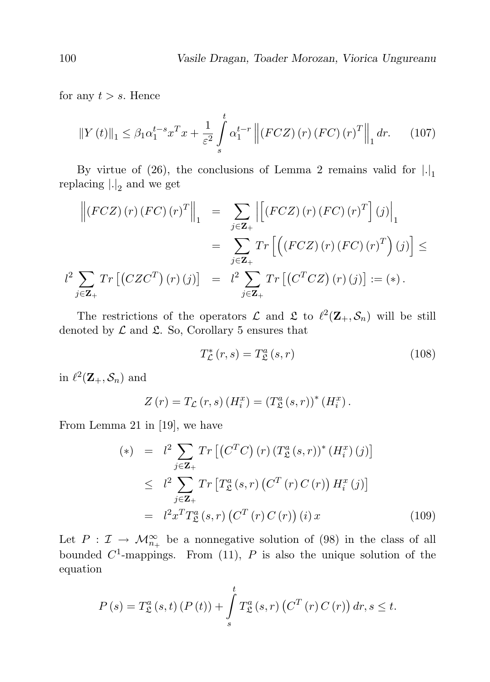for any  $t > s$ . Hence

$$
\|Y(t)\|_1 \leq \beta_1 \alpha_1^{t-s} x^T x + \frac{1}{\varepsilon^2} \int\limits_s^t \alpha_1^{t-r} \left\| (FCZ)(r) (FC)(r)^T \right\|_1 dr. \tag{107}
$$

By virtue of (26), the conclusions of Lemma 2 remains valid for  $|.|_1$ replacing  $\left|.|_2\right|$  and we get

$$
\left\| \left( FCZ \right) (r) \left( FC \right) (r)^{T} \right\|_{1} = \sum_{j \in \mathbf{Z}_{+}} \left| \left[ \left( FCZ \right) (r) \left( FC \right) (r)^{T} \right] (j) \right|_{1}
$$
  

$$
= \sum_{j \in \mathbf{Z}_{+}} Tr \left[ \left( \left( FCZ \right) (r) \left( FC \right) (r)^{T} \right) (j) \right] \le
$$
  

$$
l^{2} \sum_{j \in \mathbf{Z}_{+}} Tr \left[ \left( CZ C^{T} \right) (r) (j) \right] = l^{2} \sum_{j \in \mathbf{Z}_{+}} Tr \left[ \left( C^{T} CZ \right) (r) (j) \right] := (*) .
$$

The restrictions of the operators  $\mathcal L$  and  $\mathcal L$  to  $\ell^2(\mathbf Z_+, \mathcal S_n)$  will be still denoted by  $\mathcal L$  and  $\mathfrak L$ . So, Corollary 5 ensures that

$$
T_{\mathcal{L}}^{*}\left(r,s\right) = T_{\mathcal{L}}^{a}\left(s,r\right) \tag{108}
$$

in  $\ell^2(\mathbf{Z}_+, \mathcal{S}_n)$  and

$$
Z(r) = T_{\mathcal{L}}(r, s) (H_i^x) = (T_{\mathcal{L}}^a(s, r))^* (H_i^x).
$$

From Lemma 21 in [19], we have

$$
(*) = l^{2} \sum_{j \in \mathbf{Z}_{+}} Tr \left[ \left( C^{T} C \right) (r) \left( T_{\mathfrak{L}}^{a} (s, r) \right)^{*} (H_{i}^{x}) (j) \right]
$$
  
\n
$$
\leq l^{2} \sum_{j \in \mathbf{Z}_{+}} Tr \left[ T_{\mathfrak{L}}^{a} (s, r) \left( C^{T} (r) C (r) \right) H_{i}^{x} (j) \right]
$$
  
\n
$$
= l^{2} x^{T} T_{\mathfrak{L}}^{a} (s, r) \left( C^{T} (r) C (r) \right) (i) x \qquad (109)
$$

Let  $P: \mathcal{I} \to \mathcal{M}_{n_+}^{\infty}$  be a nonnegative solution of (98) in the class of all bounded  $C^1$ -mappings. From (11), P is also the unique solution of the equation

$$
P(s) = T_{\mathfrak{L}}^{a}(s,t) (P(t)) + \int_{s}^{t} T_{\mathfrak{L}}^{a}(s,r) (C^{T}(r) C(r)) dr, s \leq t.
$$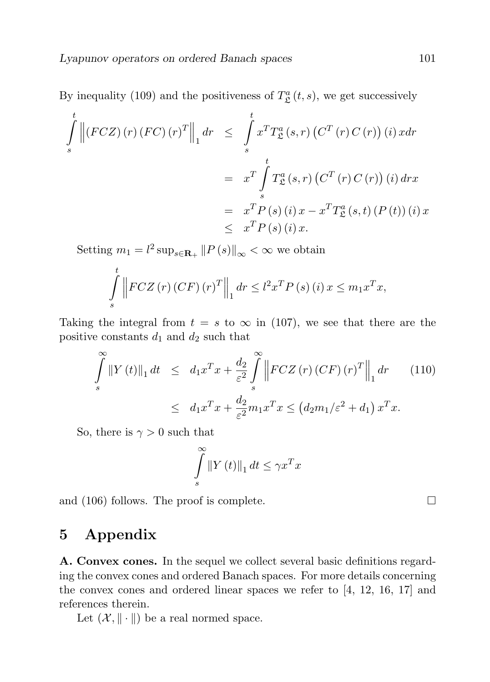By inequality (109) and the positiveness of  $T_{\mathcal{L}}^{a}(t, s)$ , we get successively

$$
\int_{s}^{t} \left\| (FCZ)(r) (FC)(r)^{T} \right\|_{1} dr \leq \int_{s}^{t} x^{T} T_{\mathfrak{L}}^{a}(s,r) (C^{T}(r) C(r)) (i) x dr
$$
\n
$$
= x^{T} \int_{s}^{t} T_{\mathfrak{L}}^{a}(s,r) (C^{T}(r) C(r)) (i) dr x
$$
\n
$$
= x^{T} P(s) (i) x - x^{T} T_{\mathfrak{L}}^{a}(s,t) (P(t)) (i) x
$$
\n
$$
\leq x^{T} P(s) (i) x.
$$

Setting  $m_1 = l^2 \sup_{s \in \mathbf{R}_+} ||P(s)||_{\infty} < \infty$  we obtain

$$
\int_{s}^{t} \left\| F C Z \left( r \right) \left( C F \right) \left( r \right)^{T} \right\|_{1} dr \leq l^{2} x^{T} P \left( s \right) \left( i \right) x \leq m_{1} x^{T} x,
$$

Taking the integral from  $t = s$  to  $\infty$  in (107), we see that there are the positive constants  $d_1$  and  $d_2$  such that

$$
\int_{s}^{\infty} ||Y(t)||_{1} dt \le d_{1}x^{T}x + \frac{d_{2}}{\varepsilon^{2}} \int_{s}^{\infty} \left||FCZ(r)(CF)(r)^{T} \right||_{1} dr \qquad (110)
$$

$$
\le d_{1}x^{T}x + \frac{d_{2}}{\varepsilon^{2}} m_{1}x^{T}x \le (d_{2}m_{1}/\varepsilon^{2} + d_{1}) x^{T}x.
$$

So, there is  $\gamma > 0$  such that

$$
\int_{s}^{\infty} \left\| Y \left( t \right) \right\|_{1} dt \leq \gamma x^{T} x
$$

and (106) follows. The proof is complete.  $\Box$ 

### 5 Appendix

A. Convex cones. In the sequel we collect several basic definitions regarding the convex cones and ordered Banach spaces. For more details concerning the convex cones and ordered linear spaces we refer to [4, 12, 16, 17] and references therein.

Let  $(\mathcal{X}, \|\cdot\|)$  be a real normed space.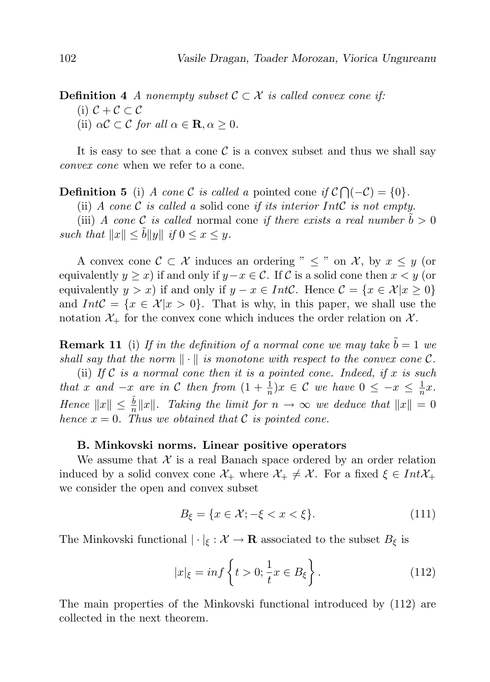### **Definition 4** A nonempty subset  $C \subset \mathcal{X}$  is called convex cone if: (i)  $C + C \subset C$ (ii)  $\alpha \mathcal{C} \subset \mathcal{C}$  for all  $\alpha \in \mathbf{R}, \alpha \geq 0$ .

It is easy to see that a cone  $\mathcal C$  is a convex subset and thus we shall say convex cone when we refer to a cone.

**Definition 5** (i) A cone C is called a pointed cone if  $C \cap (-C) = \{0\}.$ 

(ii) A cone  $\mathcal C$  is called a solid cone if its interior Int $\mathcal C$  is not empty.

(iii) A cone C is called normal cone if there exists a real number  $\tilde{b} > 0$ such that  $||x|| \leq \tilde{b} ||y||$  if  $0 \leq x \leq y$ .

A convex cone  $\mathcal{C} \subset \mathcal{X}$  induces an ordering "  $\leq$  " on  $\mathcal{X}$ , by  $x \leq y$  (or equivalently  $y \geq x$ ) if and only if  $y-x \in \mathcal{C}$ . If C is a solid cone then  $x \leq y$  (or equivalently  $y > x$ ) if and only if  $y - x \in Int\mathcal{C}$ . Hence  $\mathcal{C} = \{x \in \mathcal{X} | x \geq 0\}$ and  $IntC = \{x \in \mathcal{X} | x > 0\}$ . That is why, in this paper, we shall use the notation  $\mathcal{X}_+$  for the convex cone which induces the order relation on  $\mathcal{X}_+$ .

**Remark 11** (i) If in the definition of a normal cone we may take  $\tilde{b} = 1$  we shall say that the norm  $\|\cdot\|$  is monotone with respect to the convex cone C.

(ii) If  $\mathcal C$  is a normal cone then it is a pointed cone. Indeed, if  $x$  is such that x and  $-x$  are in C then from  $(1 + \frac{1}{n})x \in C$  we have  $0 \le -x \le \frac{1}{n}$  $\frac{1}{n}x$ . Hence  $||x|| \leq \frac{\tilde{b}}{n} ||x||$ . Taking the limit for  $n \to \infty$  we deduce that  $||x|| = 0$ hence  $x = 0$ . Thus we obtained that C is pointed cone.

#### B. Minkovski norms. Linear positive operators

We assume that  $\mathcal X$  is a real Banach space ordered by an order relation induced by a solid convex cone  $\mathcal{X}_+$  where  $\mathcal{X}_+ \neq \mathcal{X}$ . For a fixed  $\xi \in Int\mathcal{X}_+$ we consider the open and convex subset

$$
B_{\xi} = \{x \in \mathcal{X}; -\xi < x < \xi\}. \tag{111}
$$

The Minkovski functional  $|\cdot|_{\xi} : \mathcal{X} \to \mathbf{R}$  associated to the subset  $B_{\xi}$  is

$$
|x|_{\xi} = \inf \left\{ t > 0; \frac{1}{t} x \in B_{\xi} \right\}.
$$
 (112)

The main properties of the Minkovski functional introduced by (112) are collected in the next theorem.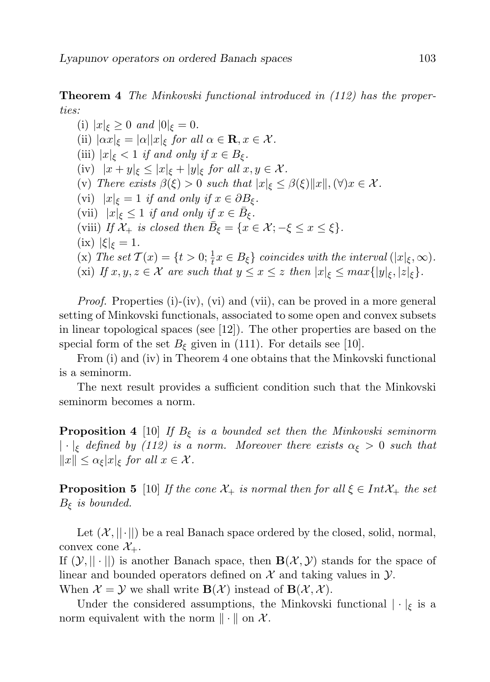Theorem 4 The Minkovski functional introduced in (112) has the properties:

(i)  $|x|_{\xi} \geq 0$  and  $|0|_{\xi} = 0$ . (ii)  $|\alpha x|_{\xi} = |\alpha| |x|_{\xi}$  for all  $\alpha \in \mathbf{R}, x \in \mathcal{X}$ . (iii)  $|x|_{\xi} < 1$  if and only if  $x \in B_{\xi}$ . (iv)  $|x+y|_{\xi} \leq |x|_{\xi} + |y|_{\xi}$  for all  $x, y \in \mathcal{X}$ . (v) There exists  $\beta(\xi) > 0$  such that  $|x|_{\xi} \leq \beta(\xi) ||x||$ ,  $(\forall) x \in \mathcal{X}$ . (vi)  $|x|_{\xi} = 1$  if and only if  $x \in \partial B_{\xi}$ . (vii)  $|x|_{\xi} \leq 1$  if and only if  $x \in \overline{B}_{\xi}$ . (viii) If  $\mathcal{X}_+$  is closed then  $\bar{B}_\xi = \{x \in \mathcal{X}; -\xi \leq x \leq \xi\}.$ (ix)  $|\xi|_{\xi} = 1$ . (x) The set  $\mathcal{T}(x) = \{t > 0; \frac{1}{t}x \in B_{\xi}\}\$ coincides with the interval  $(|x|_{\xi}, \infty)$ . (xi) If  $x, y, z \in \mathcal{X}$  are such that  $y \leq x \leq z$  then  $|x|_{\xi} \leq max\{|y|_{\xi}, |z|_{\xi}\}.$ 

*Proof.* Properties (i)-(iv), (vi) and (vii), can be proved in a more general setting of Minkovski functionals, associated to some open and convex subsets in linear topological spaces (see [12]). The other properties are based on the special form of the set  $B_{\xi}$  given in (111). For details see [10].

From (i) and (iv) in Theorem 4 one obtains that the Minkovski functional is a seminorm.

The next result provides a sufficient condition such that the Minkovski seminorm becomes a norm.

**Proposition 4** [10] If  $B_{\xi}$  is a bounded set then the Minkovski seminorm  $|\cdot|_{\xi}$  defined by (112) is a norm. Moreover there exists  $\alpha_{\xi} > 0$  such that  $||x|| \leq \alpha_{\xi} |x|_{\xi}$  for all  $x \in \mathcal{X}$ .

**Proposition 5** [10] If the cone  $\mathcal{X}_+$  is normal then for all  $\xi \in Int\mathcal{X}_+$  the set  $B_{\xi}$  is bounded.

Let  $(X, ||\cdot||)$  be a real Banach space ordered by the closed, solid, normal, convex cone  $\mathcal{X}_{+}$ .

If  $(\mathcal{Y}, || \cdot ||)$  is another Banach space, then  $\mathbf{B}(\mathcal{X}, \mathcal{Y})$  stands for the space of linear and bounded operators defined on  $\mathcal X$  and taking values in  $\mathcal Y$ . When  $\mathcal{X} = \mathcal{Y}$  we shall write  $\mathbf{B}(\mathcal{X})$  instead of  $\mathbf{B}(\mathcal{X}, \mathcal{X})$ .

Under the considered assumptions, the Minkovski functional  $|\cdot|_{\xi}$  is a norm equivalent with the norm  $\|\cdot\|$  on X.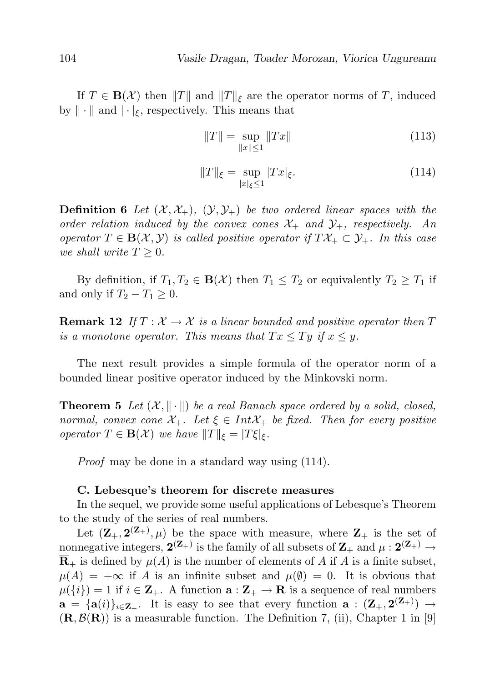If  $T \in \mathbf{B}(\mathcal{X})$  then  $||T||$  and  $||T||_{\mathcal{E}}$  are the operator norms of T, induced by  $\|\cdot\|$  and  $|\cdot|_{\xi}$ , respectively. This means that

$$
||T|| = \sup_{||x|| \le 1} ||Tx|| \tag{113}
$$

$$
||T||_{\xi} = \sup_{|x|\xi \le 1} |Tx|_{\xi}.
$$
 (114)

**Definition 6** Let  $(\mathcal{X}, \mathcal{X}_+)$ ,  $(\mathcal{Y}, \mathcal{Y}_+)$  be two ordered linear spaces with the order relation induced by the convex cones  $\mathcal{X}_+$  and  $\mathcal{Y}_+$ , respectively. An operator  $T \in \mathbf{B}(\mathcal{X}, \mathcal{Y})$  is called positive operator if  $T\mathcal{X}_+ \subset \mathcal{Y}_+$ . In this case we shall write  $T \geq 0$ .

By definition, if  $T_1, T_2 \in \mathbf{B}(\mathcal{X})$  then  $T_1 \leq T_2$  or equivalently  $T_2 \geq T_1$  if and only if  $T_2 - T_1 \geq 0$ .

**Remark 12** If  $T : \mathcal{X} \to \mathcal{X}$  is a linear bounded and positive operator then T is a monotone operator. This means that  $Tx \le Ty$  if  $x \le y$ .

The next result provides a simple formula of the operator norm of a bounded linear positive operator induced by the Minkovski norm.

**Theorem 5** Let  $(\mathcal{X}, \|\cdot\|)$  be a real Banach space ordered by a solid, closed, normal, convex cone  $\mathcal{X}_+$ . Let  $\xi \in Int\mathcal{X}_+$  be fixed. Then for every positive operator  $T \in \mathbf{B}(\mathcal{X})$  we have  $||T||_{\xi} = |T\xi|_{\xi}$ .

Proof may be done in a standard way using (114).

#### C. Lebesque's theorem for discrete measures

In the sequel, we provide some useful applications of Lebesque's Theorem to the study of the series of real numbers.

Let  $(\mathbf{Z}_{+}, \mathbf{2}^{(\mathbf{Z}_{+})}, \mu)$  be the space with measure, where  $\mathbf{Z}_{+}$  is the set of nonnegative integers,  $\mathbf{2}^{(\mathbf{Z}_+)}$  is the family of all subsets of  $\mathbf{Z}_+$  and  $\mu: \mathbf{2}^{(\mathbf{Z}_+)} \to$  $\overline{\mathbf{R}}_{+}$  is defined by  $\mu(A)$  is the number of elements of A if A is a finite subset,  $\mu(A) = +\infty$  if A is an infinite subset and  $\mu(\emptyset) = 0$ . It is obvious that  $\mu({i}) = 1$  if  $i \in \mathbb{Z}_+$ . A function  $\mathbf{a} : \mathbb{Z}_+ \to \mathbb{R}$  is a sequence of real numbers  $\mathbf{a} = {\mathbf{a}(i)}_{i \in \mathbf{Z}_{+}}$ . It is easy to see that every function  $\mathbf{a} : (\mathbf{Z}_{+}, \mathbf{2}(\mathbf{Z}_{+})) \to$  $(\mathbf{R}, \mathcal{B}(\mathbf{R}))$  is a measurable function. The Definition 7, (ii), Chapter 1 in [9]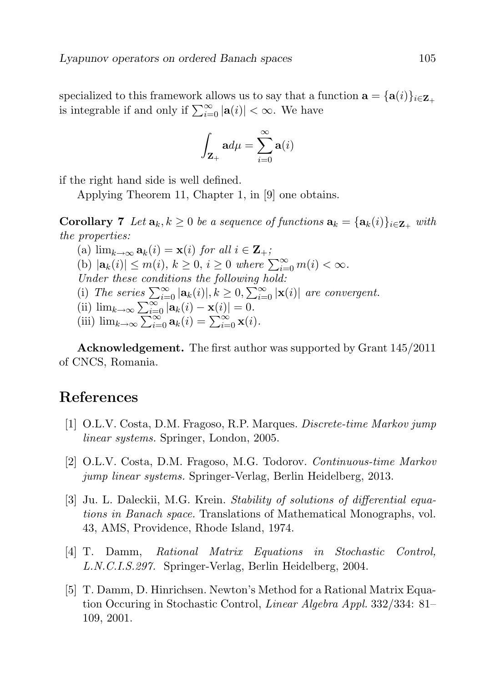specialized to this framework allows us to say that a function  $\mathbf{a} = {\mathbf{a}(i)}_{i \in \mathbf{Z}_+}$ is integrable if and only if  $\sum_{i=0}^{\infty} |\mathbf{a}(i)| < \infty$ . We have

$$
\int_{\mathbf{Z}_{+}}\mathbf{a}d\mu=\sum_{i=0}^{\infty}\mathbf{a}(i)
$$

if the right hand side is well defined.

Applying Theorem 11, Chapter 1, in [9] one obtains.

**Corollary 7** Let  $\mathbf{a}_k, k \geq 0$  be a sequence of functions  $\mathbf{a}_k = {\mathbf{a}_k(i)}_{i \in \mathbf{Z}_+}$  with the properties:

(a)  $\lim_{k\to\infty} \mathbf{a}_k(i) = \mathbf{x}(i)$  for all  $i \in \mathbf{Z}_+$ ; (b)  $|\mathbf{a}_k(i)| \leq m(i), k \geq 0, i \geq 0$  where  $\sum_{i=0}^{\infty} m(i) < \infty$ . Under these conditions the following hold: (i) The series  $\sum_{i=0}^{\infty} |\mathbf{a}_k(i)|, k \geq 0, \sum_{i=0}^{\infty} |\mathbf{x}(i)|$  are convergent. (ii)  $\lim_{k\to\infty}\sum_{i=0}^{\infty}$   $|\mathbf{a}_k(i) - \mathbf{x}(i)| = 0$ . (iii)  $\lim_{k\to\infty} \sum_{i=0}^{+\infty} \mathbf{a}_k(i) = \sum_{i=0}^{\infty} \mathbf{x}(i)$ .

Acknowledgement. The first author was supported by Grant 145/2011 of CNCS, Romania.

### References

- [1] O.L.V. Costa, D.M. Fragoso, R.P. Marques. Discrete-time Markov jump linear systems. Springer, London, 2005.
- [2] O.L.V. Costa, D.M. Fragoso, M.G. Todorov. Continuous-time Markov jump linear systems. Springer-Verlag, Berlin Heidelberg, 2013.
- [3] Ju. L. Daleckii, M.G. Krein. Stability of solutions of differential equations in Banach space. Translations of Mathematical Monographs, vol. 43, AMS, Providence, Rhode Island, 1974.
- [4] T. Damm, Rational Matrix Equations in Stochastic Control, L.N.C.I.S.297. Springer-Verlag, Berlin Heidelberg, 2004.
- [5] T. Damm, D. Hinrichsen. Newton's Method for a Rational Matrix Equation Occuring in Stochastic Control, Linear Algebra Appl. 332/334: 81– 109, 2001.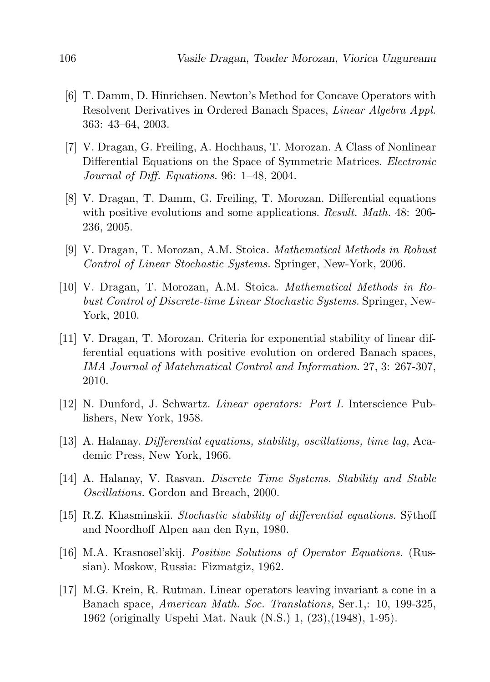- [6] T. Damm, D. Hinrichsen. Newton's Method for Concave Operators with Resolvent Derivatives in Ordered Banach Spaces, *Linear Algebra Appl.* 363: 43–64, 2003.
- [7] V. Dragan, G. Freiling, A. Hochhaus, T. Morozan. A Class of Nonlinear Differential Equations on the Space of Symmetric Matrices. Electronic Journal of Diff. Equations. 96: 1–48, 2004.
- [8] V. Dragan, T. Damm, G. Freiling, T. Morozan. Differential equations with positive evolutions and some applications. *Result. Math.* 48: 206-236, 2005.
- [9] V. Dragan, T. Morozan, A.M. Stoica. Mathematical Methods in Robust Control of Linear Stochastic Systems. Springer, New-York, 2006.
- [10] V. Dragan, T. Morozan, A.M. Stoica. Mathematical Methods in Robust Control of Discrete-time Linear Stochastic Systems. Springer, New-York, 2010.
- [11] V. Dragan, T. Morozan. Criteria for exponential stability of linear differential equations with positive evolution on ordered Banach spaces, IMA Journal of Matehmatical Control and Information. 27, 3: 267-307, 2010.
- [12] N. Dunford, J. Schwartz. Linear operators: Part I. Interscience Publishers, New York, 1958.
- [13] A. Halanay. Differential equations, stability, oscillations, time lag, Academic Press, New York, 1966.
- [14] A. Halanay, V. Rasvan. Discrete Time Systems. Stability and Stable Oscillations. Gordon and Breach, 2000.
- [15] R.Z. Khasminskii. Stochastic stability of differential equations. Sythoff and Noordhoff Alpen aan den Ryn, 1980.
- [16] M.A. Krasnosel'skij. Positive Solutions of Operator Equations. (Russian). Moskow, Russia: Fizmatgiz, 1962.
- [17] M.G. Krein, R. Rutman. Linear operators leaving invariant a cone in a Banach space, American Math. Soc. Translations, Ser.1,: 10, 199-325, 1962 (originally Uspehi Mat. Nauk (N.S.) 1, (23),(1948), 1-95).